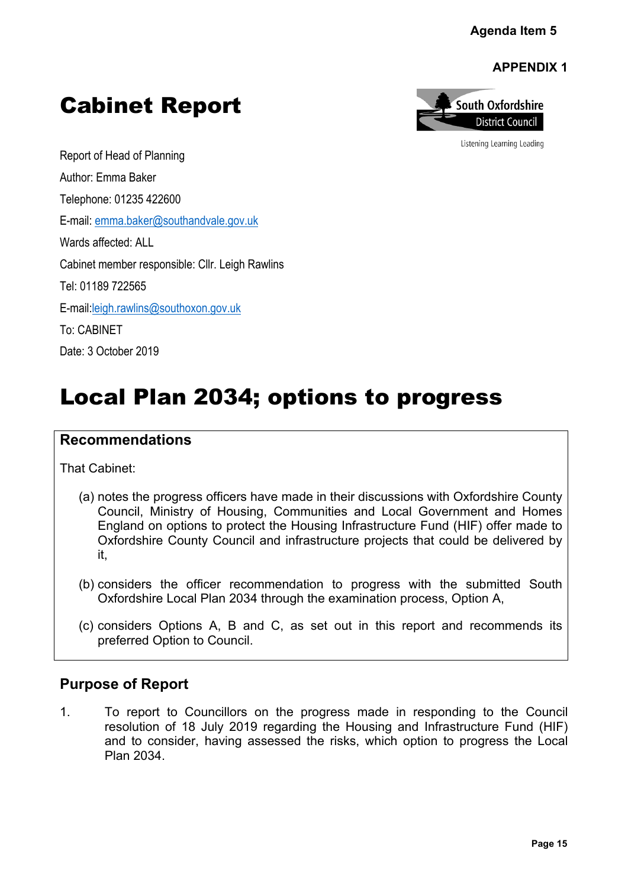**APPENDIX 1**



Listening Learning Leading

Report of Head of Planning Author: Emma Baker Telephone: 01235 422600 E-mail: [emma.baker@southandvale.gov.uk](mailto:emma.baker@southandvale.gov.uk) Wards affected: ALL Cabinet member responsible: Cllr. Leigh Rawlins

Cabinet Report

Tel: 01189 722565

E-mail[:leigh.rawlins@southoxon.gov.uk](mailto:leigh.rawlins@southoxon.gov.uk)

To: CABINET

Date: 3 October 2019

# Local Plan 2034; options to progress

# **Recommendations**

That Cabinet:

- (a) notes the progress officers have made in their discussions with Oxfordshire County Council, Ministry of Housing, Communities and Local Government and Homes England on options to protect the Housing Infrastructure Fund (HIF) offer made to Oxfordshire County Council and infrastructure projects that could be delivered by it, Agenda Item 5<br> **APPENDIX 1**<br>
uth Oxfordshire<br>
District Counting Leading<br>
Lening Learning Leading<br>
Fig. 15<br>
Published South<br>
Examples its<br>
submitted South<br>
Examples its<br>
g to the Council<br>
Council Council<br>
Council Council<br>
C
- (b) considers the officer recommendation to progress with the submitted South Oxfordshire Local Plan 2034 through the examination process, Option A,
- (c) considers Options A, B and C, as set out in this report and recommends its preferred Option to Council.

# **Purpose of Report**

1. To report to Councillors on the progress made in responding to the Council resolution of 18 July 2019 regarding the Housing and Infrastructure Fund (HIF) and to consider, having assessed the risks, which option to progress the Local Plan 2034.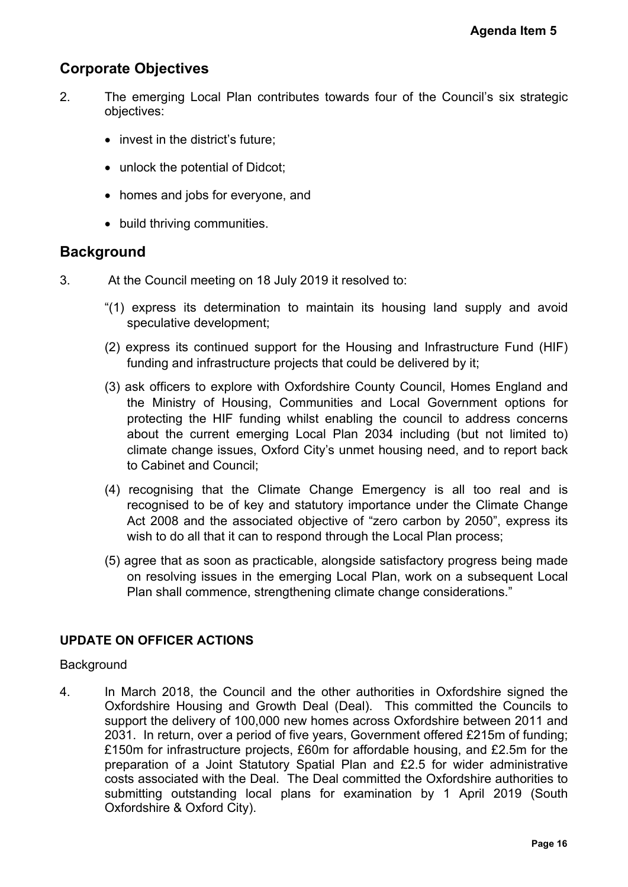# **Corporate Objectives**

- 2. The emerging Local Plan contributes towards four of the Council's six strategic objectives:
	- invest in the district's future;
	- unlock the potential of Didcot;
	- homes and jobs for everyone, and
	- build thriving communities.

## **Background**

- 3. At the Council meeting on 18 July 2019 it resolved to:
	- "(1) express its determination to maintain its housing land supply and avoid speculative development;
	- (2) express its continued support for the Housing and Infrastructure Fund (HIF) funding and infrastructure projects that could be delivered by it;
	- (3) ask officers to explore with Oxfordshire County Council, Homes England and the Ministry of Housing, Communities and Local Government options for protecting the HIF funding whilst enabling the council to address concerns about the current emerging Local Plan 2034 including (but not limited to) climate change issues, Oxford City's unmet housing need, and to report back to Cabinet and Council;
	- (4) recognising that the Climate Change Emergency is all too real and is recognised to be of key and statutory importance under the Climate Change Act 2008 and the associated objective of "zero carbon by 2050", express its wish to do all that it can to respond through the Local Plan process;
	- (5) agree that as soon as practicable, alongside satisfactory progress being made on resolving issues in the emerging Local Plan, work on a subsequent Local Plan shall commence, strengthening climate change considerations."

## **UPDATE ON OFFICER ACTIONS**

## **Background**

4. In March 2018, the Council and the other authorities in Oxfordshire signed the Oxfordshire Housing and Growth Deal (Deal). This committed the Councils to support the delivery of 100,000 new homes across Oxfordshire between 2011 and 2031. In return, over a period of five years, Government offered £215m of funding; £150m for infrastructure projects, £60m for affordable housing, and £2.5m for the preparation of a Joint Statutory Spatial Plan and £2.5 for wider administrative costs associated with the Deal. The Deal committed the Oxfordshire authorities to submitting outstanding local plans for examination by 1 April 2019 (South Oxfordshire & Oxford City). Agenda Item 5<br>
icil's six strategic<br>
icil's six strategic<br>
it;<br>
it;<br>
mes England and<br>
ment options for<br>
inddress concerns<br>
ut not limited to)<br>
nd to report back<br>
too real and is<br>
climate Change<br>
2050", express its<br>
press,<br>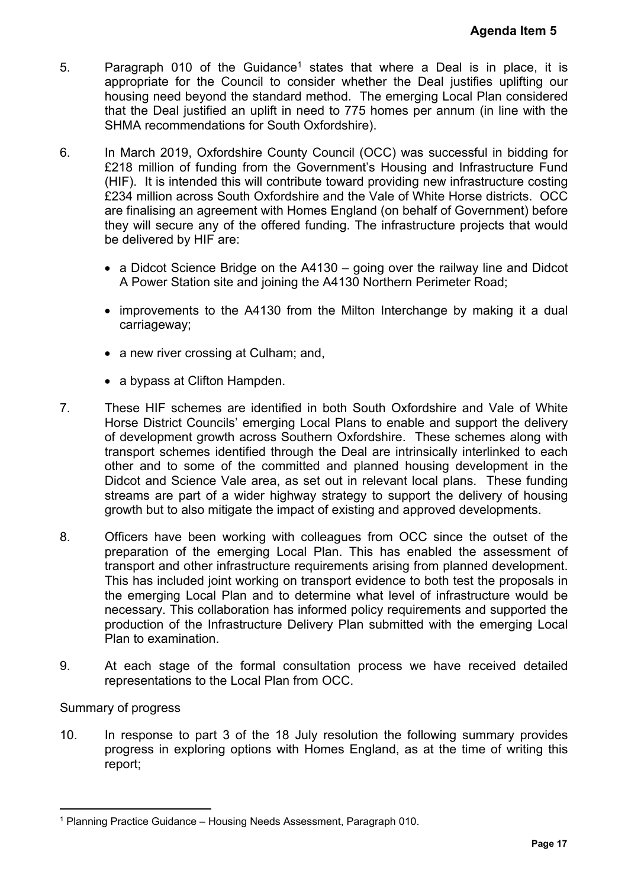- 5. Paragraph 010 of the Guidance<sup>1</sup> states that where a Deal is in place, it is appropriate for the Council to consider whether the Deal justifies uplifting our housing need beyond the standard method. The emerging Local Plan considered that the Deal justified an uplift in need to 775 homes per annum (in line with the SHMA recommendations for South Oxfordshire).
- 6. In March 2019, Oxfordshire County Council (OCC) was successful in bidding for £218 million of funding from the Government's Housing and Infrastructure Fund (HIF). It is intended this will contribute toward providing new infrastructure costing £234 million across South Oxfordshire and the Vale of White Horse districts. OCC are finalising an agreement with Homes England (on behalf of Government) before they will secure any of the offered funding. The infrastructure projects that would be delivered by HIF are:
	- a Didcot Science Bridge on the A4130 going over the railway line and Didcot A Power Station site and joining the A4130 Northern Perimeter Road;
	- improvements to the A4130 from the Milton Interchange by making it a dual carriageway;
	- a new river crossing at Culham; and,
	- a bypass at Clifton Hampden.
- 7. These HIF schemes are identified in both South Oxfordshire and Vale of White Horse District Councils' emerging Local Plans to enable and support the delivery of development growth across Southern Oxfordshire. These schemes along with transport schemes identified through the Deal are intrinsically interlinked to each other and to some of the committed and planned housing development in the Didcot and Science Vale area, as set out in relevant local plans. These funding streams are part of a wider highway strategy to support the delivery of housing growth but to also mitigate the impact of existing and approved developments. Agenda Item 5<br>
is in place, it is<br>
iffes uplifting our<br>
I Plan considered<br>
I flan considered<br>
I flan considered<br>
Isful in bidding for<br>
frastructure Costing<br>
se districts. OCC<br>
overnment) before<br>
ojects that would<br>
ay line
- 8. Officers have been working with colleagues from OCC since the outset of the preparation of the emerging Local Plan. This has enabled the assessment of transport and other infrastructure requirements arising from planned development. This has included joint working on transport evidence to both test the proposals in the emerging Local Plan and to determine what level of infrastructure would be necessary. This collaboration has informed policy requirements and supported the production of the Infrastructure Delivery Plan submitted with the emerging Local Plan to examination.
- 9. At each stage of the formal consultation process we have received detailed representations to the Local Plan from OCC.

## Summary of progress

10. In response to part 3 of the 18 July resolution the following summary provides progress in exploring options with Homes England, as at the time of writing this report;

<sup>1</sup> Planning Practice Guidance – Housing Needs Assessment, Paragraph 010.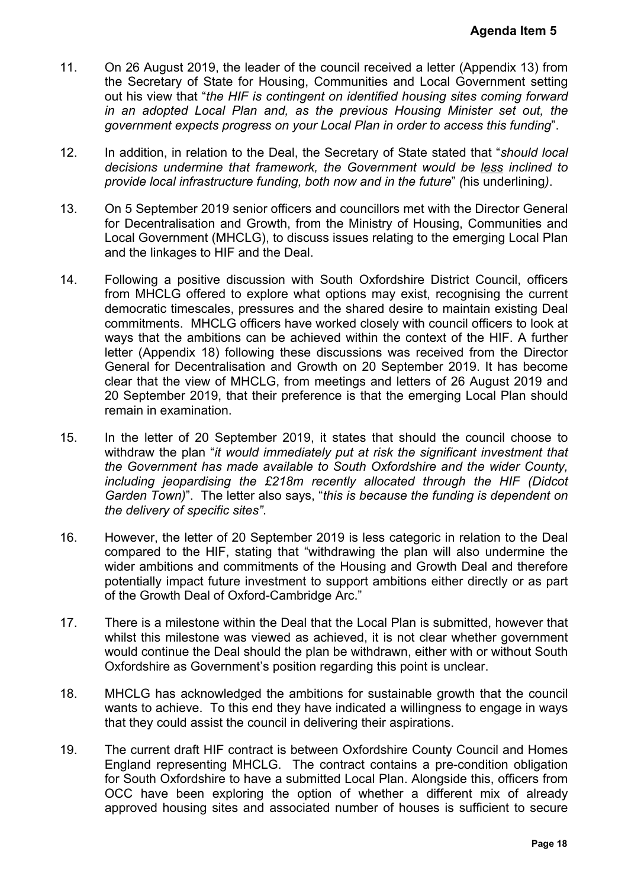- 11. On 26 August 2019, the leader of the council received a letter (Appendix 13) from the Secretary of State for Housing, Communities and Local Government setting out his view that "*the HIF is contingent on identified housing sites coming forward in an adopted Local Plan and, as the previous Housing Minister set out, the government expects progress on your Local Plan in order to access this funding*".
- 12. In addition, in relation to the Deal, the Secretary of State stated that "*should local decisions undermine that framework, the Government would be less inclined to provide local infrastructure funding, both now and in the future*" *(*his underlining*)*.
- 13. On 5 September 2019 senior officers and councillors met with the Director General for Decentralisation and Growth, from the Ministry of Housing, Communities and Local Government (MHCLG), to discuss issues relating to the emerging Local Plan and the linkages to HIF and the Deal.
- 14. Following a positive discussion with South Oxfordshire District Council, officers from MHCLG offered to explore what options may exist, recognising the current democratic timescales, pressures and the shared desire to maintain existing Deal commitments. MHCLG officers have worked closely with council officers to look at ways that the ambitions can be achieved within the context of the HIF. A further letter (Appendix 18) following these discussions was received from the Director General for Decentralisation and Growth on 20 September 2019. It has become clear that the view of MHCLG, from meetings and letters of 26 August 2019 and 20 September 2019, that their preference is that the emerging Local Plan should remain in examination. **Agenda Item 5**<br>
oppendix 13) from<br>
overnment setting<br>
scoming forward<br>
ster set out, the<br>
ster set out, the<br>
ster set out, the<br>
e less inclined to<br>
is underlining).<br>
Director General<br>
Council, officers<br>
and erging Local P
- 15. In the letter of 20 September 2019, it states that should the council choose to withdraw the plan "*it would immediately put at risk the significant investment that the Government has made available to South Oxfordshire and the wider County, including jeopardising the £218m recently allocated through the HIF (Didcot Garden Town)*". The letter also says, "*this is because the funding is dependent on the delivery of specific sites"*.
- 16. However, the letter of 20 September 2019 is less categoric in relation to the Deal compared to the HIF, stating that "withdrawing the plan will also undermine the wider ambitions and commitments of the Housing and Growth Deal and therefore potentially impact future investment to support ambitions either directly or as part of the Growth Deal of Oxford-Cambridge Arc."
- 17. There is a milestone within the Deal that the Local Plan is submitted, however that whilst this milestone was viewed as achieved, it is not clear whether government would continue the Deal should the plan be withdrawn, either with or without South Oxfordshire as Government's position regarding this point is unclear.
- 18. MHCLG has acknowledged the ambitions for sustainable growth that the council wants to achieve. To this end they have indicated a willingness to engage in ways that they could assist the council in delivering their aspirations.
- 19. The current draft HIF contract is between Oxfordshire County Council and Homes England representing MHCLG. The contract contains a pre-condition obligation for South Oxfordshire to have a submitted Local Plan. Alongside this, officers from OCC have been exploring the option of whether a different mix of already approved housing sites and associated number of houses is sufficient to secure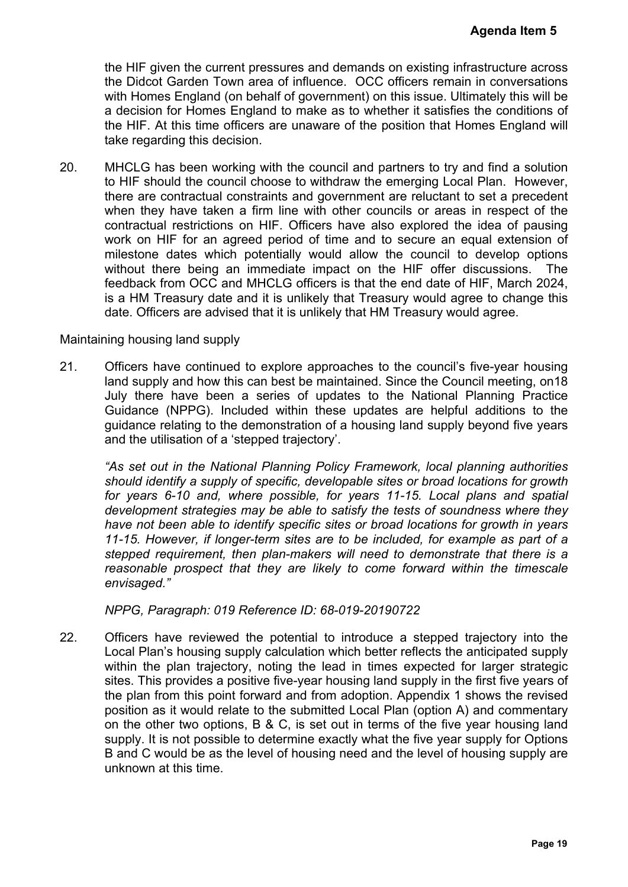the HIF given the current pressures and demands on existing infrastructure across the Didcot Garden Town area of influence. OCC officers remain in conversations with Homes England (on behalf of government) on this issue. Ultimately this will be a decision for Homes England to make as to whether it satisfies the conditions of the HIF. At this time officers are unaware of the position that Homes England will take regarding this decision.

20. MHCLG has been working with the council and partners to try and find a solution to HIF should the council choose to withdraw the emerging Local Plan. However, there are contractual constraints and government are reluctant to set a precedent when they have taken a firm line with other councils or areas in respect of the contractual restrictions on HIF. Officers have also explored the idea of pausing work on HIF for an agreed period of time and to secure an equal extension of milestone dates which potentially would allow the council to develop options without there being an immediate impact on the HIF offer discussions. The feedback from OCC and MHCLG officers is that the end date of HIF, March 2024, is a HM Treasury date and it is unlikely that Treasury would agree to change this date. Officers are advised that it is unlikely that HM Treasury would agree. **Agenda Item 5**<br>
astructure across<br>
in conversations<br>
mately this will be<br>
the conditions of<br>
mes England will<br>
nd find a solution<br>
Plan. However,<br>
in respect of the<br>
idea of pausing<br>
qual extension of<br>
develop options<br>
is

#### Maintaining housing land supply

21. Officers have continued to explore approaches to the council's five-year housing land supply and how this can best be maintained. Since the Council meeting, on18 July there have been a series of updates to the National Planning Practice Guidance (NPPG). Included within these updates are helpful additions to the guidance relating to the demonstration of a housing land supply beyond five years and the utilisation of a 'stepped trajectory'.

*"As set out in the National Planning Policy Framework, local planning authorities should identify a supply of specific, developable sites or broad locations for growth for years 6-10 and, where possible, for years 11-15. Local plans and spatial development strategies may be able to satisfy the tests of soundness where they have not been able to identify specific sites or broad locations for growth in years 11-15. However, if longer-term sites are to be included, for example as part of a stepped requirement, then plan-makers will need to demonstrate that there is a reasonable prospect that they are likely to come forward within the timescale envisaged."*

*NPPG, Paragraph: 019 Reference ID: 68-019-20190722*

22. Officers have reviewed the potential to introduce a stepped trajectory into the Local Plan's housing supply calculation which better reflects the anticipated supply within the plan trajectory, noting the lead in times expected for larger strategic sites. This provides a positive five-year housing land supply in the first five years of the plan from this point forward and from adoption. Appendix 1 shows the revised position as it would relate to the submitted Local Plan (option A) and commentary on the other two options, B & C, is set out in terms of the five year housing land supply. It is not possible to determine exactly what the five year supply for Options B and C would be as the level of housing need and the level of housing supply are unknown at this time.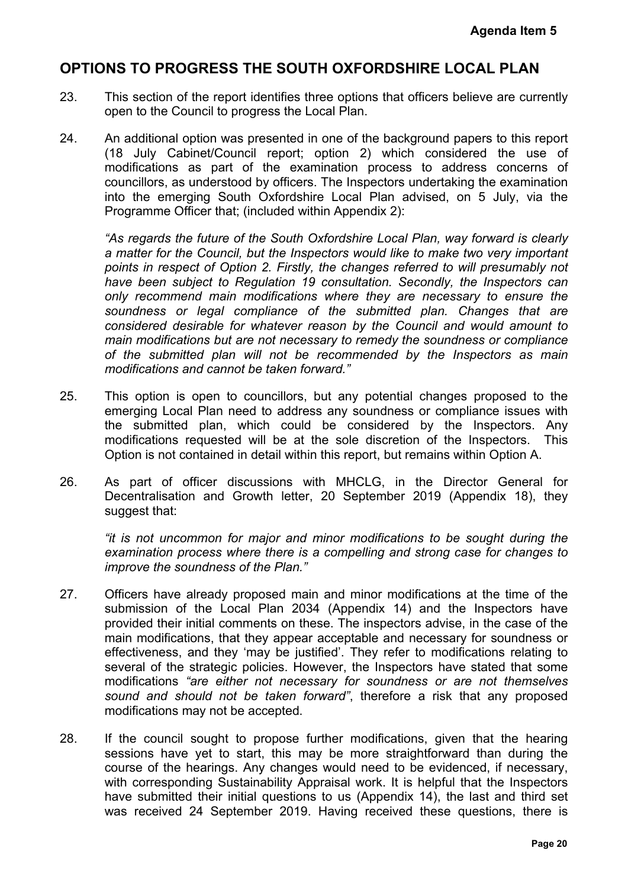# **OPTIONS TO PROGRESS THE SOUTH OXFORDSHIRE LOCAL PLAN**

- 23. This section of the report identifies three options that officers believe are currently open to the Council to progress the Local Plan.
- 24. An additional option was presented in one of the background papers to this report (18 July Cabinet/Council report; option 2) which considered the use of modifications as part of the examination process to address concerns of councillors, as understood by officers. The Inspectors undertaking the examination into the emerging South Oxfordshire Local Plan advised, on 5 July, via the Programme Officer that; (included within Appendix 2):

*"As regards the future of the South Oxfordshire Local Plan, way forward is clearly a matter for the Council, but the Inspectors would like to make two very important points in respect of Option 2. Firstly, the changes referred to will presumably not have been subject to Regulation 19 consultation. Secondly, the Inspectors can only recommend main modifications where they are necessary to ensure the soundness or legal compliance of the submitted plan. Changes that are considered desirable for whatever reason by the Council and would amount to main modifications but are not necessary to remedy the soundness or compliance of the submitted plan will not be recommended by the Inspectors as main modifications and cannot be taken forward."* Agenda Item 5<br> **CAL PLAN**<br>
ieve are currently<br>
oers to this report<br>
red the use of<br>
ses concerns of<br>
5 July, via the<br>
forward is clearly<br>
no very important<br>
ill presumably not<br>
ll presumably not<br>
ll presumably not<br>
e Inspe

- 25. This option is open to councillors, but any potential changes proposed to the emerging Local Plan need to address any soundness or compliance issues with the submitted plan, which could be considered by the Inspectors. Any modifications requested will be at the sole discretion of the Inspectors. This Option is not contained in detail within this report, but remains within Option A.
- 26. As part of officer discussions with MHCLG, in the Director General for Decentralisation and Growth letter, 20 September 2019 (Appendix 18), they suggest that:

*"it is not uncommon for major and minor modifications to be sought during the examination process where there is a compelling and strong case for changes to improve the soundness of the Plan."*

- 27. Officers have already proposed main and minor modifications at the time of the submission of the Local Plan 2034 (Appendix 14) and the Inspectors have provided their initial comments on these. The inspectors advise, in the case of the main modifications, that they appear acceptable and necessary for soundness or effectiveness, and they 'may be justified'. They refer to modifications relating to several of the strategic policies. However, the Inspectors have stated that some modifications *"are either not necessary for soundness or are not themselves sound and should not be taken forward"*, therefore a risk that any proposed modifications may not be accepted.
- 28. If the council sought to propose further modifications, given that the hearing sessions have yet to start, this may be more straightforward than during the course of the hearings. Any changes would need to be evidenced, if necessary, with corresponding Sustainability Appraisal work. It is helpful that the Inspectors have submitted their initial questions to us (Appendix 14), the last and third set was received 24 September 2019. Having received these questions, there is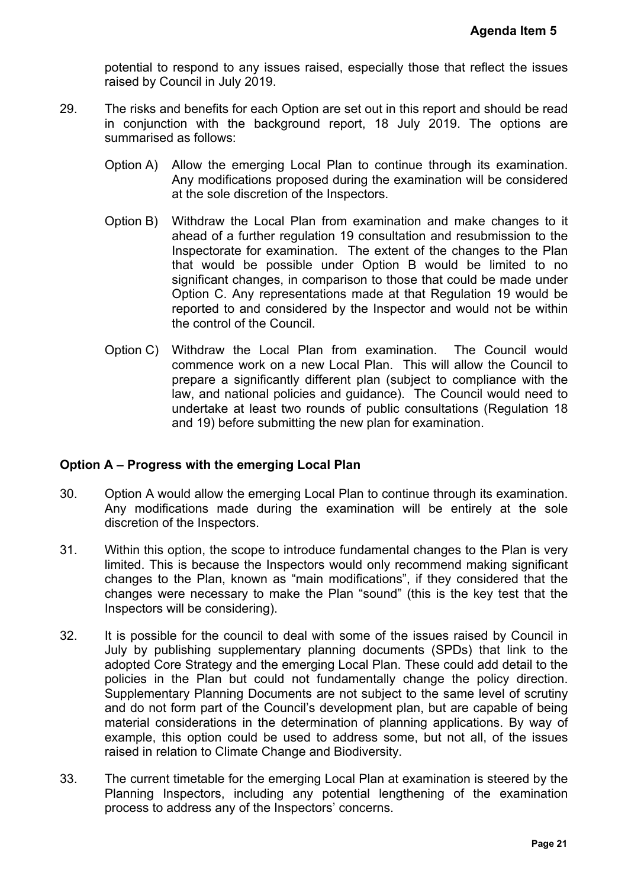potential to respond to any issues raised, especially those that reflect the issues raised by Council in July 2019.

- 29. The risks and benefits for each Option are set out in this report and should be read in conjunction with the background report, 18 July 2019. The options are summarised as follows:
	- Option A) Allow the emerging Local Plan to continue through its examination. Any modifications proposed during the examination will be considered at the sole discretion of the Inspectors.
	- Option B) Withdraw the Local Plan from examination and make changes to it ahead of a further regulation 19 consultation and resubmission to the Inspectorate for examination. The extent of the changes to the Plan that would be possible under Option B would be limited to no significant changes, in comparison to those that could be made under Option C. Any representations made at that Regulation 19 would be reported to and considered by the Inspector and would not be within the control of the Council.
	- Option C) Withdraw the Local Plan from examination. The Council would commence work on a new Local Plan. This will allow the Council to prepare a significantly different plan (subject to compliance with the law, and national policies and guidance). The Council would need to undertake at least two rounds of public consultations (Regulation 18 and 19) before submitting the new plan for examination.

## **Option A – Progress with the emerging Local Plan**

- 30. Option A would allow the emerging Local Plan to continue through its examination. Any modifications made during the examination will be entirely at the sole discretion of the Inspectors.
- 31. Within this option, the scope to introduce fundamental changes to the Plan is very limited. This is because the Inspectors would only recommend making significant changes to the Plan, known as "main modifications", if they considered that the changes were necessary to make the Plan "sound" (this is the key test that the Inspectors will be considering).
- 32. It is possible for the council to deal with some of the issues raised by Council in July by publishing supplementary planning documents (SPDs) that link to the adopted Core Strategy and the emerging Local Plan. These could add detail to the policies in the Plan but could not fundamentally change the policy direction. Supplementary Planning Documents are not subject to the same level of scrutiny and do not form part of the Council's development plan, but are capable of being material considerations in the determination of planning applications. By way of example, this option could be used to address some, but not all, of the issues raised in relation to Climate Change and Biodiversity. **Agenda Item 5**<br>reflect the issues<br>and should be read<br>The options are<br>its examination.<br>will be considered<br>kke changes to it<br>submission to the<br>neges to the Plan<br>of de made under<br>tion 19 would be within<br>e Council would not b
- 33. The current timetable for the emerging Local Plan at examination is steered by the Planning Inspectors, including any potential lengthening of the examination process to address any of the Inspectors' concerns.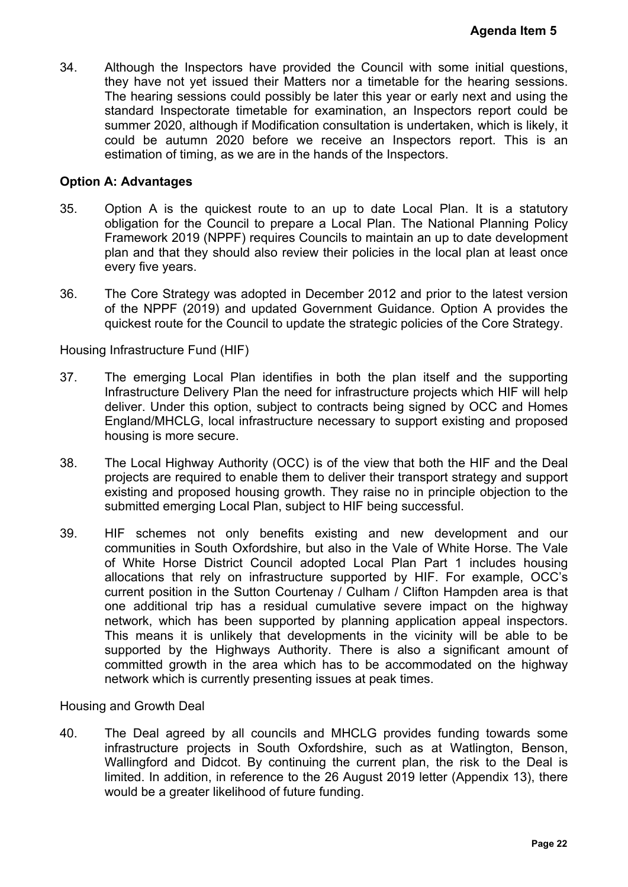34. Although the Inspectors have provided the Council with some initial questions, they have not yet issued their Matters nor a timetable for the hearing sessions. The hearing sessions could possibly be later this year or early next and using the standard Inspectorate timetable for examination, an Inspectors report could be summer 2020, although if Modification consultation is undertaken, which is likely, it could be autumn 2020 before we receive an Inspectors report. This is an estimation of timing, as we are in the hands of the Inspectors.

#### **Option A: Advantages**

- 35. Option A is the quickest route to an up to date Local Plan. It is a statutory obligation for the Council to prepare a Local Plan. The National Planning Policy Framework 2019 (NPPF) requires Councils to maintain an up to date development plan and that they should also review their policies in the local plan at least once every five years.
- 36. The Core Strategy was adopted in December 2012 and prior to the latest version of the NPPF (2019) and updated Government Guidance. Option A provides the quickest route for the Council to update the strategic policies of the Core Strategy.

Housing Infrastructure Fund (HIF)

- 37. The emerging Local Plan identifies in both the plan itself and the supporting Infrastructure Delivery Plan the need for infrastructure projects which HIF will help deliver. Under this option, subject to contracts being signed by OCC and Homes England/MHCLG, local infrastructure necessary to support existing and proposed housing is more secure.
- 38. The Local Highway Authority (OCC) is of the view that both the HIF and the Deal projects are required to enable them to deliver their transport strategy and support existing and proposed housing growth. They raise no in principle objection to the submitted emerging Local Plan, subject to HIF being successful.
- 39. HIF schemes not only benefits existing and new development and our communities in South Oxfordshire, but also in the Vale of White Horse. The Vale of White Horse District Council adopted Local Plan Part 1 includes housing allocations that rely on infrastructure supported by HIF. For example, OCC's current position in the Sutton Courtenay / Culham / Clifton Hampden area is that one additional trip has a residual cumulative severe impact on the highway network, which has been supported by planning application appeal inspectors. This means it is unlikely that developments in the vicinity will be able to be supported by the Highways Authority. There is also a significant amount of committed growth in the area which has to be accommodated on the highway network which is currently presenting issues at peak times. **Agenda Item 5**<br>
initial questions,<br>
nearing sessions.<br>
ext and using the<br>
is report could be<br>
, which is likely, it<br>
port. This is an<br>
let us a statutory<br>
If is a statutory<br>
If is a statutory<br>
If is a statutory<br>
If is a s

Housing and Growth Deal

40. The Deal agreed by all councils and MHCLG provides funding towards some infrastructure projects in South Oxfordshire, such as at Watlington, Benson, Wallingford and Didcot. By continuing the current plan, the risk to the Deal is limited. In addition, in reference to the 26 August 2019 letter (Appendix 13), there would be a greater likelihood of future funding.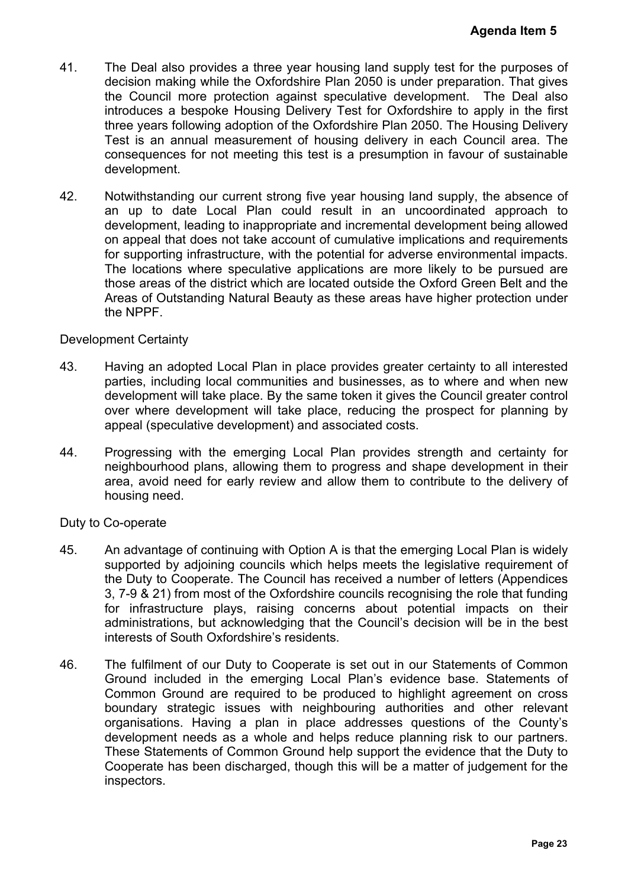- 41. The Deal also provides a three year housing land supply test for the purposes of decision making while the Oxfordshire Plan 2050 is under preparation. That gives the Council more protection against speculative development. The Deal also introduces a bespoke Housing Delivery Test for Oxfordshire to apply in the first three years following adoption of the Oxfordshire Plan 2050. The Housing Delivery Test is an annual measurement of housing delivery in each Council area. The consequences for not meeting this test is a presumption in favour of sustainable development.
- 42. Notwithstanding our current strong five year housing land supply, the absence of an up to date Local Plan could result in an uncoordinated approach to development, leading to inappropriate and incremental development being allowed on appeal that does not take account of cumulative implications and requirements for supporting infrastructure, with the potential for adverse environmental impacts. The locations where speculative applications are more likely to be pursued are those areas of the district which are located outside the Oxford Green Belt and the Areas of Outstanding Natural Beauty as these areas have higher protection under the NPPF.

#### Development Certainty

- 43. Having an adopted Local Plan in place provides greater certainty to all interested parties, including local communities and businesses, as to where and when new development will take place. By the same token it gives the Council greater control over where development will take place, reducing the prospect for planning by appeal (speculative development) and associated costs.
- 44. Progressing with the emerging Local Plan provides strength and certainty for neighbourhood plans, allowing them to progress and shape development in their area, avoid need for early review and allow them to contribute to the delivery of housing need.

## Duty to Co-operate

- 45. An advantage of continuing with Option A is that the emerging Local Plan is widely supported by adjoining councils which helps meets the legislative requirement of the Duty to Cooperate. The Council has received a number of letters (Appendices 3, 7-9 & 21) from most of the Oxfordshire councils recognising the role that funding for infrastructure plays, raising concerns about potential impacts on their administrations, but acknowledging that the Council's decision will be in the best interests of South Oxfordshire's residents.
- 46. The fulfilment of our Duty to Cooperate is set out in our Statements of Common Ground included in the emerging Local Plan's evidence base. Statements of Common Ground are required to be produced to highlight agreement on cross boundary strategic issues with neighbouring authorities and other relevant organisations. Having a plan in place addresses questions of the County's development needs as a whole and helps reduce planning risk to our partners. These Statements of Common Ground help support the evidence that the Duty to Cooperate has been discharged, though this will be a matter of judgement for the inspectors. **Agenda Item 5**<br>
If the purposes of<br>
ration. That gives<br>
The Deal also<br>
apply in the first<br>
Housing Delivery<br>
Council area. The<br>
bur of sustainable<br>
y, the absence of<br>
ed approach to<br>
ent being allowed<br>
and requirements<br>
b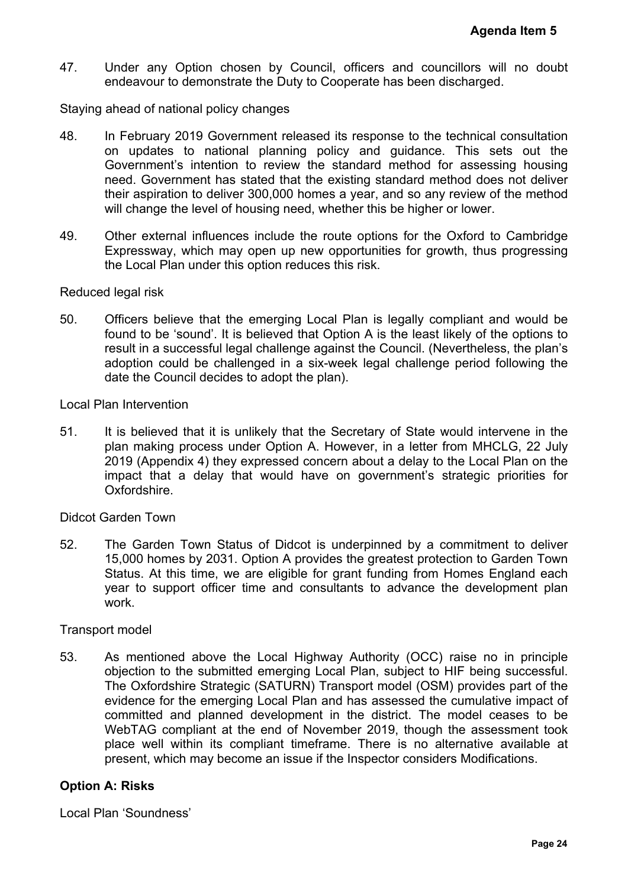47. Under any Option chosen by Council, officers and councillors will no doubt endeavour to demonstrate the Duty to Cooperate has been discharged.

Staying ahead of national policy changes

- 48. In February 2019 Government released its response to the technical consultation on updates to national planning policy and guidance. This sets out the Government's intention to review the standard method for assessing housing need. Government has stated that the existing standard method does not deliver their aspiration to deliver 300,000 homes a year, and so any review of the method will change the level of housing need, whether this be higher or lower.
- 49. Other external influences include the route options for the Oxford to Cambridge Expressway, which may open up new opportunities for growth, thus progressing the Local Plan under this option reduces this risk.

#### Reduced legal risk

50. Officers believe that the emerging Local Plan is legally compliant and would be found to be 'sound'. It is believed that Option A is the least likely of the options to result in a successful legal challenge against the Council. (Nevertheless, the plan's adoption could be challenged in a six-week legal challenge period following the date the Council decides to adopt the plan).

#### Local Plan Intervention

51. It is believed that it is unlikely that the Secretary of State would intervene in the plan making process under Option A. However, in a letter from MHCLG, 22 July 2019 (Appendix 4) they expressed concern about a delay to the Local Plan on the impact that a delay that would have on government's strategic priorities for Oxfordshire.

#### Didcot Garden Town

52. The Garden Town Status of Didcot is underpinned by a commitment to deliver 15,000 homes by 2031. Option A provides the greatest protection to Garden Town Status. At this time, we are eligible for grant funding from Homes England each year to support officer time and consultants to advance the development plan work.

#### Transport model

53. As mentioned above the Local Highway Authority (OCC) raise no in principle objection to the submitted emerging Local Plan, subject to HIF being successful. The Oxfordshire Strategic (SATURN) Transport model (OSM) provides part of the evidence for the emerging Local Plan and has assessed the cumulative impact of committed and planned development in the district. The model ceases to be WebTAG compliant at the end of November 2019, though the assessment took place well within its compliant timeframe. There is no alternative available at present, which may become an issue if the Inspector considers Modifications. Agenda Item 5<br>
rs will no doubt<br>
arged.<br>
nical consultation<br>
is sets out the<br>
seessing housing<br>
l does not deliver<br>
ew of the method<br>
wer.<br>
hus progressing<br>
thus progressing<br>
ant and would be<br>
if the options to<br>
heless, th

#### **Option A: Risks**

Local Plan 'Soundness'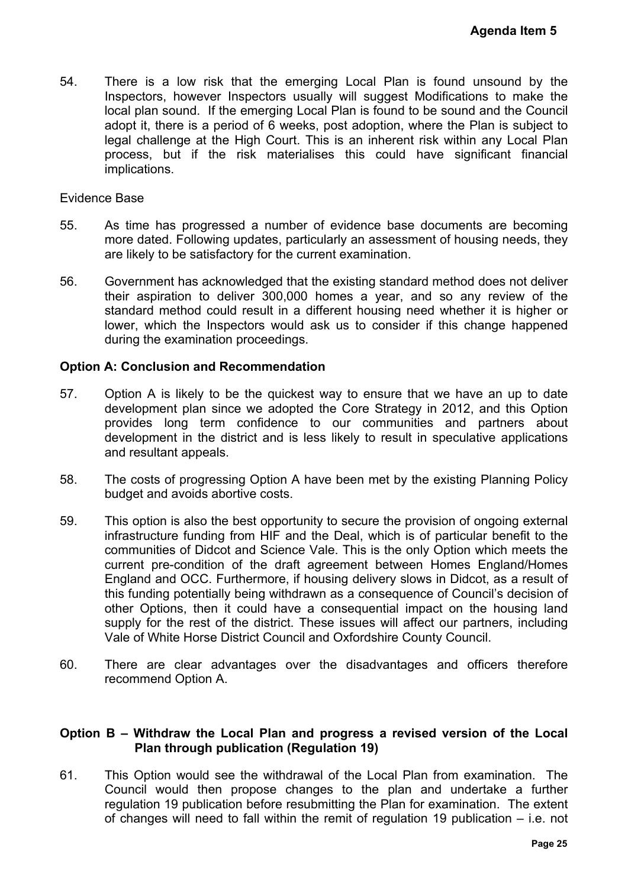54. There is a low risk that the emerging Local Plan is found unsound by the Inspectors, however Inspectors usually will suggest Modifications to make the local plan sound. If the emerging Local Plan is found to be sound and the Council adopt it, there is a period of 6 weeks, post adoption, where the Plan is subject to legal challenge at the High Court. This is an inherent risk within any Local Plan process, but if the risk materialises this could have significant financial implications.

#### Evidence Base

- 55. As time has progressed a number of evidence base documents are becoming more dated. Following updates, particularly an assessment of housing needs, they are likely to be satisfactory for the current examination.
- 56. Government has acknowledged that the existing standard method does not deliver their aspiration to deliver 300,000 homes a year, and so any review of the standard method could result in a different housing need whether it is higher or lower, which the Inspectors would ask us to consider if this change happened during the examination proceedings.

#### **Option A: Conclusion and Recommendation**

- 57. Option A is likely to be the quickest way to ensure that we have an up to date development plan since we adopted the Core Strategy in 2012, and this Option provides long term confidence to our communities and partners about development in the district and is less likely to result in speculative applications and resultant appeals.
- 58. The costs of progressing Option A have been met by the existing Planning Policy budget and avoids abortive costs.
- 59. This option is also the best opportunity to secure the provision of ongoing external infrastructure funding from HIF and the Deal, which is of particular benefit to the communities of Didcot and Science Vale. This is the only Option which meets the current pre-condition of the draft agreement between Homes England/Homes England and OCC. Furthermore, if housing delivery slows in Didcot, as a result of this funding potentially being withdrawn as a consequence of Council's decision of other Options, then it could have a consequential impact on the housing land supply for the rest of the district. These issues will affect our partners, including Vale of White Horse District Council and Oxfordshire County Council. Agenda Item 5<br>
unsound by the<br>
ons to make the<br>
d and the Council<br>
Plan is subject to<br>
n any Local Plan<br>
mificant financial<br>
this are becoming<br>
using needs, they<br>
d does not deliver<br>
ny review of the<br>
ler it is higher or<br>
- 60. There are clear advantages over the disadvantages and officers therefore recommend Option A.

#### **Option B – Withdraw the Local Plan and progress a revised version of the Local Plan through publication (Regulation 19)**

61. This Option would see the withdrawal of the Local Plan from examination. The Council would then propose changes to the plan and undertake a further regulation 19 publication before resubmitting the Plan for examination. The extent of changes will need to fall within the remit of regulation 19 publication – i.e. not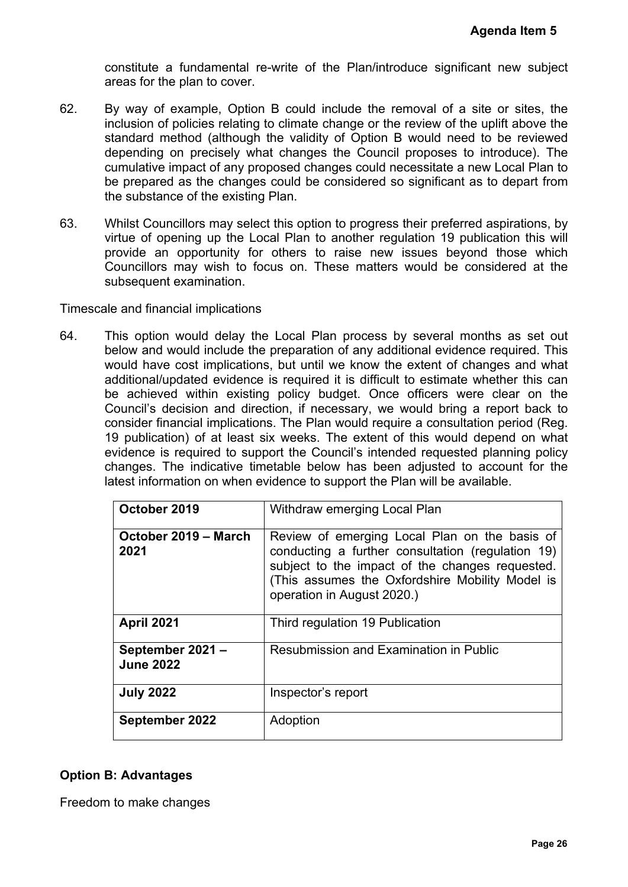- 62. By way of example, Option B could include the removal of a site or sites, the inclusion of policies relating to climate change or the review of the uplift above the standard method (although the validity of Option B would need to be reviewed depending on precisely what changes the Council proposes to introduce). The cumulative impact of any proposed changes could necessitate a new Local Plan to be prepared as the changes could be considered so significant as to depart from the substance of the existing Plan.
- 63. Whilst Councillors may select this option to progress their preferred aspirations, by virtue of opening up the Local Plan to another regulation 19 publication this will provide an opportunity for others to raise new issues beyond those which Councillors may wish to focus on. These matters would be considered at the subsequent examination.

#### Timescale and financial implications

64. This option would delay the Local Plan process by several months as set out below and would include the preparation of any additional evidence required. This would have cost implications, but until we know the extent of changes and what additional/updated evidence is required it is difficult to estimate whether this can be achieved within existing policy budget. Once officers were clear on the Council's decision and direction, if necessary, we would bring a report back to consider financial implications. The Plan would require a consultation period (Reg. 19 publication) of at least six weeks. The extent of this would depend on what evidence is required to support the Council's intended requested planning policy changes. The indicative timetable below has been adjusted to account for the latest information on when evidence to support the Plan will be available.

|                                     | <b>Agenda Item 5</b>                                                                                                                                                                                                                                                                                                                                                                                                                                                                                                                                                                                                                                                                                                                                                                                                                         |
|-------------------------------------|----------------------------------------------------------------------------------------------------------------------------------------------------------------------------------------------------------------------------------------------------------------------------------------------------------------------------------------------------------------------------------------------------------------------------------------------------------------------------------------------------------------------------------------------------------------------------------------------------------------------------------------------------------------------------------------------------------------------------------------------------------------------------------------------------------------------------------------------|
| reas for the plan to cover.         | onstitute a fundamental re-write of the Plan/introduce significant new subject                                                                                                                                                                                                                                                                                                                                                                                                                                                                                                                                                                                                                                                                                                                                                               |
| e substance of the existing Plan.   | y way of example, Option B could include the removal of a site or sites, the<br>clusion of policies relating to climate change or the review of the uplift above the<br>andard method (although the validity of Option B would need to be reviewed<br>epending on precisely what changes the Council proposes to introduce). The<br>umulative impact of any proposed changes could necessitate a new Local Plan to<br>e prepared as the changes could be considered so significant as to depart from                                                                                                                                                                                                                                                                                                                                         |
| ubsequent examination.              | hilst Councillors may select this option to progress their preferred aspirations, by<br>rtue of opening up the Local Plan to another regulation 19 publication this will<br>rovide an opportunity for others to raise new issues beyond those which<br>ouncillors may wish to focus on. These matters would be considered at the                                                                                                                                                                                                                                                                                                                                                                                                                                                                                                             |
| e and financial implications        |                                                                                                                                                                                                                                                                                                                                                                                                                                                                                                                                                                                                                                                                                                                                                                                                                                              |
|                                     | elow and would include the preparation of any additional evidence required. This<br>ould have cost implications, but until we know the extent of changes and what<br>dditional/updated evidence is required it is difficult to estimate whether this can<br>e achieved within existing policy budget. Once officers were clear on the<br>ouncil's decision and direction, if necessary, we would bring a report back to<br>onsider financial implications. The Plan would require a consultation period (Reg.<br>9 publication) of at least six weeks. The extent of this would depend on what<br>vidence is required to support the Council's intended requested planning policy<br>nanges. The indicative timetable below has been adjusted to account for the<br>test information on when evidence to support the Plan will be available. |
| October 2019                        | Withdraw emerging Local Plan                                                                                                                                                                                                                                                                                                                                                                                                                                                                                                                                                                                                                                                                                                                                                                                                                 |
| October 2019 - March<br>2021        | Review of emerging Local Plan on the basis of<br>conducting a further consultation (regulation 19)<br>subject to the impact of the changes requested.<br>(This assumes the Oxfordshire Mobility Model is<br>operation in August 2020.)                                                                                                                                                                                                                                                                                                                                                                                                                                                                                                                                                                                                       |
| <b>April 2021</b>                   | Third regulation 19 Publication                                                                                                                                                                                                                                                                                                                                                                                                                                                                                                                                                                                                                                                                                                                                                                                                              |
| September 2021-<br><b>June 2022</b> | Resubmission and Examination in Public                                                                                                                                                                                                                                                                                                                                                                                                                                                                                                                                                                                                                                                                                                                                                                                                       |
| <b>July 2022</b>                    | Inspector's report                                                                                                                                                                                                                                                                                                                                                                                                                                                                                                                                                                                                                                                                                                                                                                                                                           |
| September 2022                      | Adoption                                                                                                                                                                                                                                                                                                                                                                                                                                                                                                                                                                                                                                                                                                                                                                                                                                     |
| : Advantages<br>to make changes     | Page 26                                                                                                                                                                                                                                                                                                                                                                                                                                                                                                                                                                                                                                                                                                                                                                                                                                      |

## **Option B: Advantages**

Freedom to make changes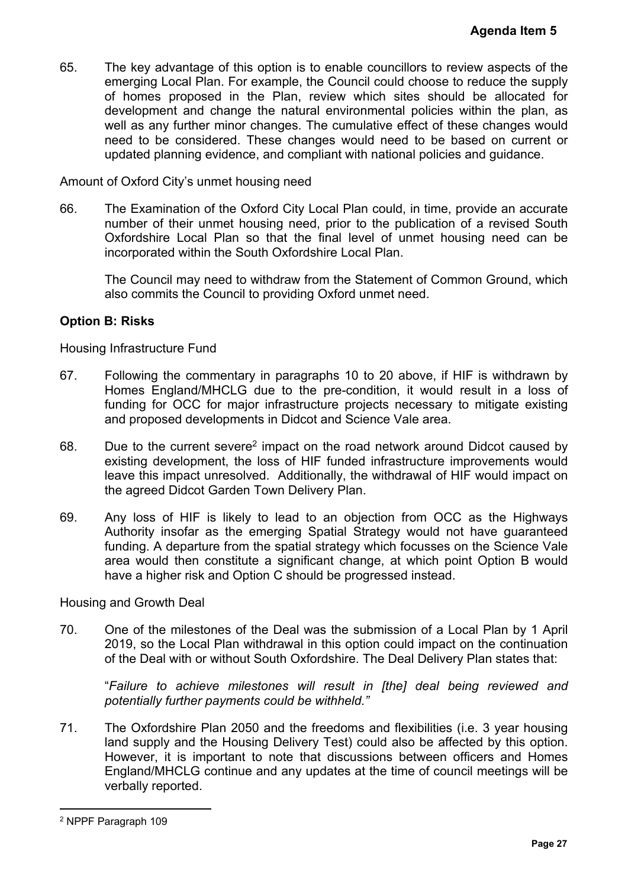65. The key advantage of this option is to enable councillors to review aspects of the emerging Local Plan. For example, the Council could choose to reduce the supply of homes proposed in the Plan, review which sites should be allocated for development and change the natural environmental policies within the plan, as well as any further minor changes. The cumulative effect of these changes would need to be considered. These changes would need to be based on current or updated planning evidence, and compliant with national policies and guidance. **Agenda Item 5**<br>
ew aspects of the<br>
reduce the supply<br>
be allocated for<br>
tihin the plan, as<br>
e changes would<br>
ed on current or<br>
or and guidance.<br>
provide an accurate<br>
is a revised South<br>
ing need can be<br>
on Ground, which<br>

Amount of Oxford City's unmet housing need

66. The Examination of the Oxford City Local Plan could, in time, provide an accurate number of their unmet housing need, prior to the publication of a revised South Oxfordshire Local Plan so that the final level of unmet housing need can be incorporated within the South Oxfordshire Local Plan.

The Council may need to withdraw from the Statement of Common Ground, which also commits the Council to providing Oxford unmet need.

## **Option B: Risks**

Housing Infrastructure Fund

- 67. Following the commentary in paragraphs 10 to 20 above, if HIF is withdrawn by Homes England/MHCLG due to the pre-condition, it would result in a loss of funding for OCC for major infrastructure projects necessary to mitigate existing and proposed developments in Didcot and Science Vale area.
- 68. Due to the current severe<sup>2</sup> impact on the road network around Didcot caused by existing development, the loss of HIF funded infrastructure improvements would leave this impact unresolved. Additionally, the withdrawal of HIF would impact on the agreed Didcot Garden Town Delivery Plan.
- 69. Any loss of HIF is likely to lead to an objection from OCC as the Highways Authority insofar as the emerging Spatial Strategy would not have guaranteed funding. A departure from the spatial strategy which focusses on the Science Vale area would then constitute a significant change, at which point Option B would have a higher risk and Option C should be progressed instead.

Housing and Growth Deal

70. One of the milestones of the Deal was the submission of a Local Plan by 1 April 2019, so the Local Plan withdrawal in this option could impact on the continuation of the Deal with or without South Oxfordshire. The Deal Delivery Plan states that:

"*Failure to achieve milestones will result in [the] deal being reviewed and potentially further payments could be withheld."*

71. The Oxfordshire Plan 2050 and the freedoms and flexibilities (i.e. 3 year housing land supply and the Housing Delivery Test) could also be affected by this option. However, it is important to note that discussions between officers and Homes England/MHCLG continue and any updates at the time of council meetings will be verbally reported.

<sup>2</sup> NPPF Paragraph 109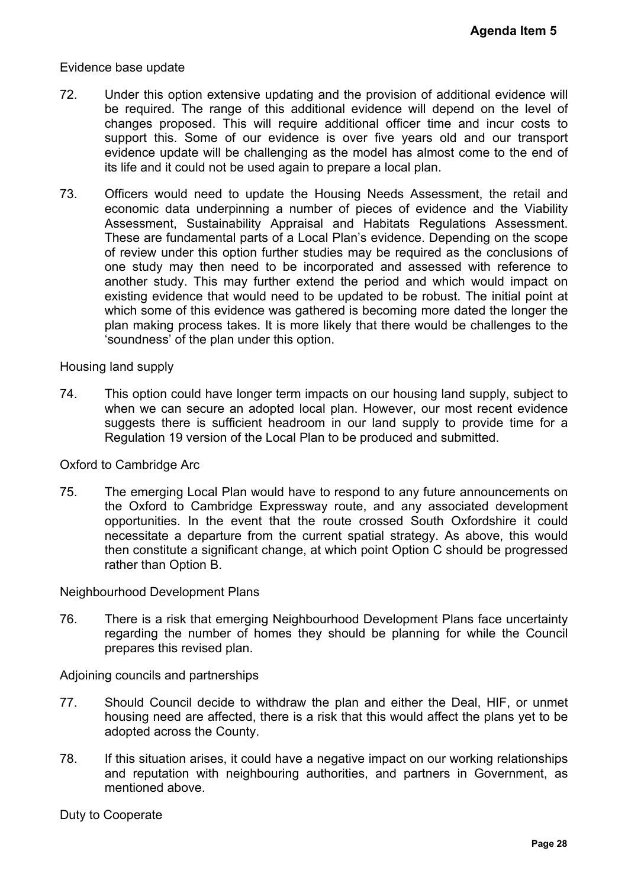#### Evidence base update

- 72. Under this option extensive updating and the provision of additional evidence will be required. The range of this additional evidence will depend on the level of changes proposed. This will require additional officer time and incur costs to support this. Some of our evidence is over five years old and our transport evidence update will be challenging as the model has almost come to the end of its life and it could not be used again to prepare a local plan.
- 73. Officers would need to update the Housing Needs Assessment, the retail and economic data underpinning a number of pieces of evidence and the Viability Assessment, Sustainability Appraisal and Habitats Regulations Assessment. These are fundamental parts of a Local Plan's evidence. Depending on the scope of review under this option further studies may be required as the conclusions of one study may then need to be incorporated and assessed with reference to another study. This may further extend the period and which would impact on existing evidence that would need to be updated to be robust. The initial point at which some of this evidence was gathered is becoming more dated the longer the plan making process takes. It is more likely that there would be challenges to the 'soundness' of the plan under this option. Agenda Item 5<br>
anal evidence will<br>
d on the level of<br>
d incur costs to<br>
and our transport<br>
me to the end of<br>
the retail and<br>
and the Viability<br>
ms Assessment.<br>
hing on the scope<br>
me conclusions of<br>
would impact on<br>
would i

#### Housing land supply

74. This option could have longer term impacts on our housing land supply, subject to when we can secure an adopted local plan. However, our most recent evidence suggests there is sufficient headroom in our land supply to provide time for a Regulation 19 version of the Local Plan to be produced and submitted.

#### Oxford to Cambridge Arc

75. The emerging Local Plan would have to respond to any future announcements on the Oxford to Cambridge Expressway route, and any associated development opportunities. In the event that the route crossed South Oxfordshire it could necessitate a departure from the current spatial strategy. As above, this would then constitute a significant change, at which point Option C should be progressed rather than Option B.

#### Neighbourhood Development Plans

76. There is a risk that emerging Neighbourhood Development Plans face uncertainty regarding the number of homes they should be planning for while the Council prepares this revised plan.

Adjoining councils and partnerships

- 77. Should Council decide to withdraw the plan and either the Deal, HIF, or unmet housing need are affected, there is a risk that this would affect the plans yet to be adopted across the County.
- 78. If this situation arises, it could have a negative impact on our working relationships and reputation with neighbouring authorities, and partners in Government, as mentioned above.

Duty to Cooperate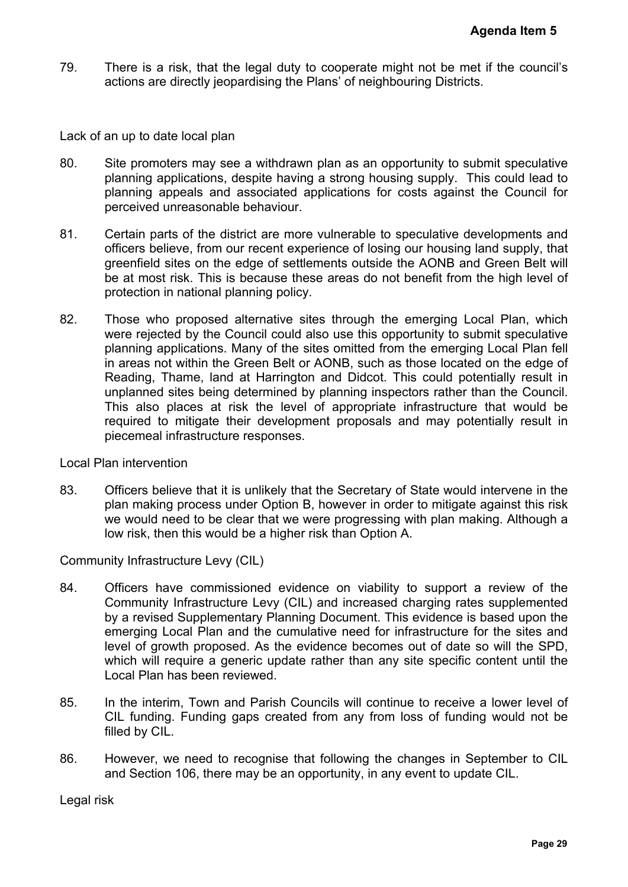79. There is a risk, that the legal duty to cooperate might not be met if the council's actions are directly jeopardising the Plans' of neighbouring Districts.

Lack of an up to date local plan

- 80. Site promoters may see a withdrawn plan as an opportunity to submit speculative planning applications, despite having a strong housing supply. This could lead to planning appeals and associated applications for costs against the Council for perceived unreasonable behaviour.
- 81. Certain parts of the district are more vulnerable to speculative developments and officers believe, from our recent experience of losing our housing land supply, that greenfield sites on the edge of settlements outside the AONB and Green Belt will be at most risk. This is because these areas do not benefit from the high level of protection in national planning policy.
- 82. Those who proposed alternative sites through the emerging Local Plan, which were rejected by the Council could also use this opportunity to submit speculative planning applications. Many of the sites omitted from the emerging Local Plan fell in areas not within the Green Belt or AONB, such as those located on the edge of Reading, Thame, land at Harrington and Didcot. This could potentially result in unplanned sites being determined by planning inspectors rather than the Council. This also places at risk the level of appropriate infrastructure that would be required to mitigate their development proposals and may potentially result in piecemeal infrastructure responses. Agenda Item 5<br>et if the council's<br>ts.<br>Womit speculative<br>This could lead to<br>This could lead to<br>evelopments and<br>aland supply, that<br>ind Green Belt will<br>ind Green Belt will<br>the high level of<br>ocal Plan, which<br>when the diversibl

Local Plan intervention

83. Officers believe that it is unlikely that the Secretary of State would intervene in the plan making process under Option B, however in order to mitigate against this risk we would need to be clear that we were progressing with plan making. Although a low risk, then this would be a higher risk than Option A.

Community Infrastructure Levy (CIL)

- 84. Officers have commissioned evidence on viability to support a review of the Community Infrastructure Levy (CIL) and increased charging rates supplemented by a revised Supplementary Planning Document. This evidence is based upon the emerging Local Plan and the cumulative need for infrastructure for the sites and level of growth proposed. As the evidence becomes out of date so will the SPD, which will require a generic update rather than any site specific content until the Local Plan has been reviewed.
- 85. In the interim, Town and Parish Councils will continue to receive a lower level of CIL funding. Funding gaps created from any from loss of funding would not be filled by CIL.
- 86. However, we need to recognise that following the changes in September to CIL and Section 106, there may be an opportunity, in any event to update CIL.

Legal risk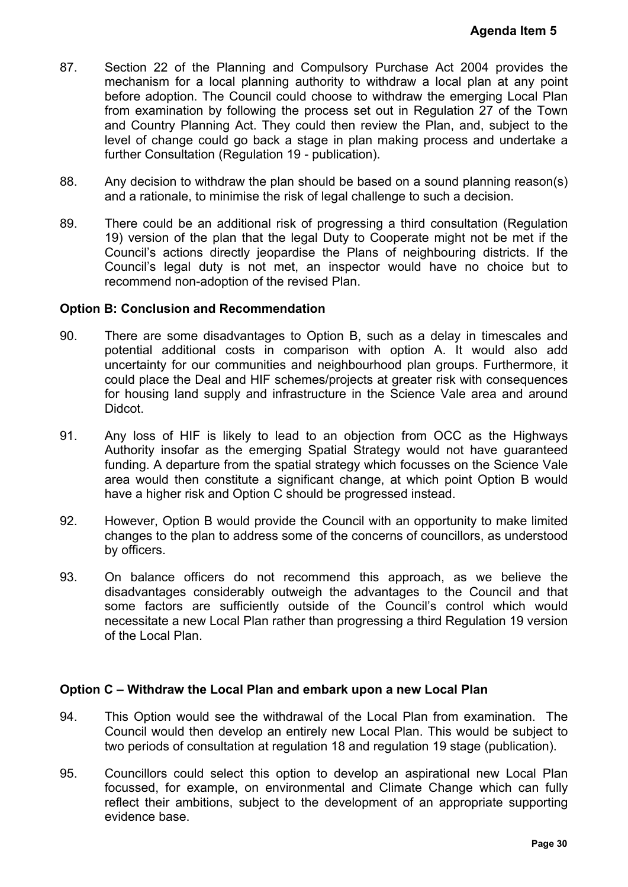- 87. Section 22 of the Planning and Compulsory Purchase Act 2004 provides the mechanism for a local planning authority to withdraw a local plan at any point before adoption. The Council could choose to withdraw the emerging Local Plan from examination by following the process set out in Regulation 27 of the Town and Country Planning Act. They could then review the Plan, and, subject to the level of change could go back a stage in plan making process and undertake a further Consultation (Regulation 19 - publication). **Agenda Item 5**<br>
004 provides the<br>
blan at any point<br>
priging Local Plan<br>
n27 of the Town<br>
nd, subject to the<br>
and undertake a<br>
lanning reason(s)<br>
lecision.<br>
ation (Regulation<br>
not be met if the<br>
g districts. If the<br>
n tim
- 88. Any decision to withdraw the plan should be based on a sound planning reason(s) and a rationale, to minimise the risk of legal challenge to such a decision.
- 89. There could be an additional risk of progressing a third consultation (Regulation 19) version of the plan that the legal Duty to Cooperate might not be met if the Council's actions directly jeopardise the Plans of neighbouring districts. If the Council's legal duty is not met, an inspector would have no choice but to recommend non-adoption of the revised Plan.

#### **Option B: Conclusion and Recommendation**

- 90. There are some disadvantages to Option B, such as a delay in timescales and potential additional costs in comparison with option A. It would also add uncertainty for our communities and neighbourhood plan groups. Furthermore, it could place the Deal and HIF schemes/projects at greater risk with consequences for housing land supply and infrastructure in the Science Vale area and around Didcot.
- 91. Any loss of HIF is likely to lead to an objection from OCC as the Highways Authority insofar as the emerging Spatial Strategy would not have guaranteed funding. A departure from the spatial strategy which focusses on the Science Vale area would then constitute a significant change, at which point Option B would have a higher risk and Option C should be progressed instead.
- 92. However, Option B would provide the Council with an opportunity to make limited changes to the plan to address some of the concerns of councillors, as understood by officers.
- 93. On balance officers do not recommend this approach, as we believe the disadvantages considerably outweigh the advantages to the Council and that some factors are sufficiently outside of the Council's control which would necessitate a new Local Plan rather than progressing a third Regulation 19 version of the Local Plan.

#### **Option C – Withdraw the Local Plan and embark upon a new Local Plan**

- 94. This Option would see the withdrawal of the Local Plan from examination. The Council would then develop an entirely new Local Plan. This would be subject to two periods of consultation at regulation 18 and regulation 19 stage (publication).
- 95. Councillors could select this option to develop an aspirational new Local Plan focussed, for example, on environmental and Climate Change which can fully reflect their ambitions, subject to the development of an appropriate supporting evidence base.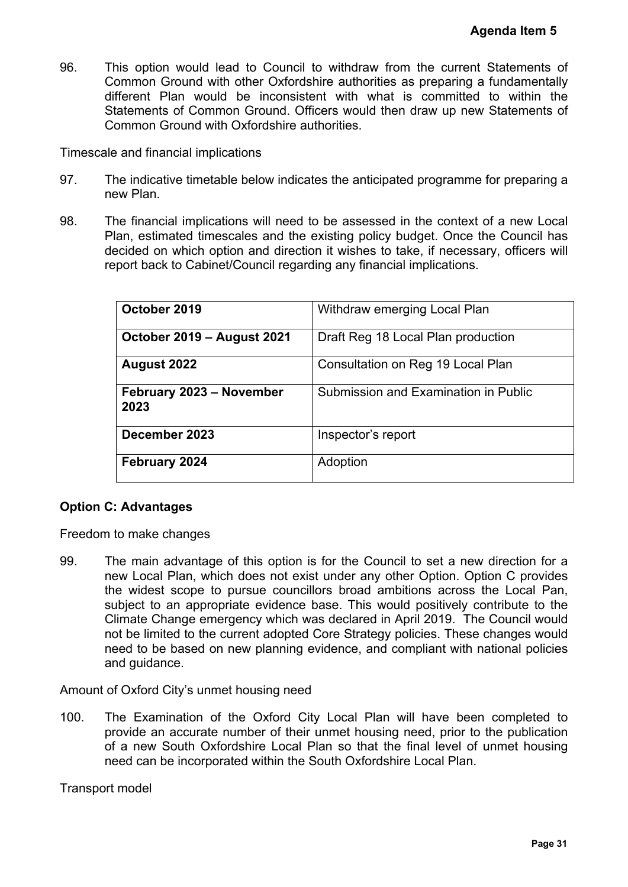96. This option would lead to Council to withdraw from the current Statements of Common Ground with other Oxfordshire authorities as preparing a fundamentally different Plan would be inconsistent with what is committed to within the Statements of Common Ground. Officers would then draw up new Statements of Common Ground with Oxfordshire authorities.

Timescale and financial implications

- 97. The indicative timetable below indicates the anticipated programme for preparing a new Plan.
- 98. The financial implications will need to be assessed in the context of a new Local Plan, estimated timescales and the existing policy budget. Once the Council has decided on which option and direction it wishes to take, if necessary, officers will report back to Cabinet/Council regarding any financial implications.

|                                                                                                                                                           | <b>Agenda Item 5</b>                                                                                                                                                                                                                                                                                                                                                                                                                                                                                                                                                                                                                                                                                                                                                                                                                    |
|-----------------------------------------------------------------------------------------------------------------------------------------------------------|-----------------------------------------------------------------------------------------------------------------------------------------------------------------------------------------------------------------------------------------------------------------------------------------------------------------------------------------------------------------------------------------------------------------------------------------------------------------------------------------------------------------------------------------------------------------------------------------------------------------------------------------------------------------------------------------------------------------------------------------------------------------------------------------------------------------------------------------|
| ommon Ground with Oxfordshire authorities.                                                                                                                | his option would lead to Council to withdraw from the current Statements of<br>ommon Ground with other Oxfordshire authorities as preparing a fundamentally<br>ifferent Plan would be inconsistent with what is committed to within the<br>tatements of Common Ground. Officers would then draw up new Statements of                                                                                                                                                                                                                                                                                                                                                                                                                                                                                                                    |
| e and financial implications                                                                                                                              |                                                                                                                                                                                                                                                                                                                                                                                                                                                                                                                                                                                                                                                                                                                                                                                                                                         |
| ew Plan.                                                                                                                                                  | he indicative timetable below indicates the anticipated programme for preparing a                                                                                                                                                                                                                                                                                                                                                                                                                                                                                                                                                                                                                                                                                                                                                       |
| port back to Cabinet/Council regarding any financial implications.                                                                                        | he financial implications will need to be assessed in the context of a new Local<br>lan, estimated timescales and the existing policy budget. Once the Council has<br>ecided on which option and direction it wishes to take, if necessary, officers will                                                                                                                                                                                                                                                                                                                                                                                                                                                                                                                                                                               |
| October 2019                                                                                                                                              | Withdraw emerging Local Plan                                                                                                                                                                                                                                                                                                                                                                                                                                                                                                                                                                                                                                                                                                                                                                                                            |
| October 2019 - August 2021                                                                                                                                | Draft Reg 18 Local Plan production                                                                                                                                                                                                                                                                                                                                                                                                                                                                                                                                                                                                                                                                                                                                                                                                      |
| <b>August 2022</b>                                                                                                                                        | Consultation on Reg 19 Local Plan                                                                                                                                                                                                                                                                                                                                                                                                                                                                                                                                                                                                                                                                                                                                                                                                       |
| February 2023 - November<br>2023                                                                                                                          | Submission and Examination in Public                                                                                                                                                                                                                                                                                                                                                                                                                                                                                                                                                                                                                                                                                                                                                                                                    |
| December 2023                                                                                                                                             | Inspector's report                                                                                                                                                                                                                                                                                                                                                                                                                                                                                                                                                                                                                                                                                                                                                                                                                      |
| February 2024                                                                                                                                             | Adoption                                                                                                                                                                                                                                                                                                                                                                                                                                                                                                                                                                                                                                                                                                                                                                                                                                |
| : Advantages<br>to make changes<br>nd guidance.<br>f Oxford City's unmet housing need<br>eed can be incorporated within the South Oxfordshire Local Plan. | he main advantage of this option is for the Council to set a new direction for a<br>ew Local Plan, which does not exist under any other Option. Option C provides<br>e widest scope to pursue councillors broad ambitions across the Local Pan,<br>ubject to an appropriate evidence base. This would positively contribute to the<br>limate Change emergency which was declared in April 2019. The Council would<br>ot be limited to the current adopted Core Strategy policies. These changes would<br>eed to be based on new planning evidence, and compliant with national policies<br>he Examination of the Oxford City Local Plan will have been completed to<br>rovide an accurate number of their unmet housing need, prior to the publication<br>f a new South Oxfordshire Local Plan so that the final level of unmet housing |
| model                                                                                                                                                     |                                                                                                                                                                                                                                                                                                                                                                                                                                                                                                                                                                                                                                                                                                                                                                                                                                         |
|                                                                                                                                                           |                                                                                                                                                                                                                                                                                                                                                                                                                                                                                                                                                                                                                                                                                                                                                                                                                                         |
|                                                                                                                                                           | Page 31                                                                                                                                                                                                                                                                                                                                                                                                                                                                                                                                                                                                                                                                                                                                                                                                                                 |

## **Option C: Advantages**

Freedom to make changes

99. The main advantage of this option is for the Council to set a new direction for a new Local Plan, which does not exist under any other Option. Option C provides the widest scope to pursue councillors broad ambitions across the Local Pan, subject to an appropriate evidence base. This would positively contribute to the Climate Change emergency which was declared in April 2019. The Council would not be limited to the current adopted Core Strategy policies. These changes would need to be based on new planning evidence, and compliant with national policies and guidance.

Amount of Oxford City's unmet housing need

100. The Examination of the Oxford City Local Plan will have been completed to provide an accurate number of their unmet housing need, prior to the publication of a new South Oxfordshire Local Plan so that the final level of unmet housing need can be incorporated within the South Oxfordshire Local Plan.

Transport model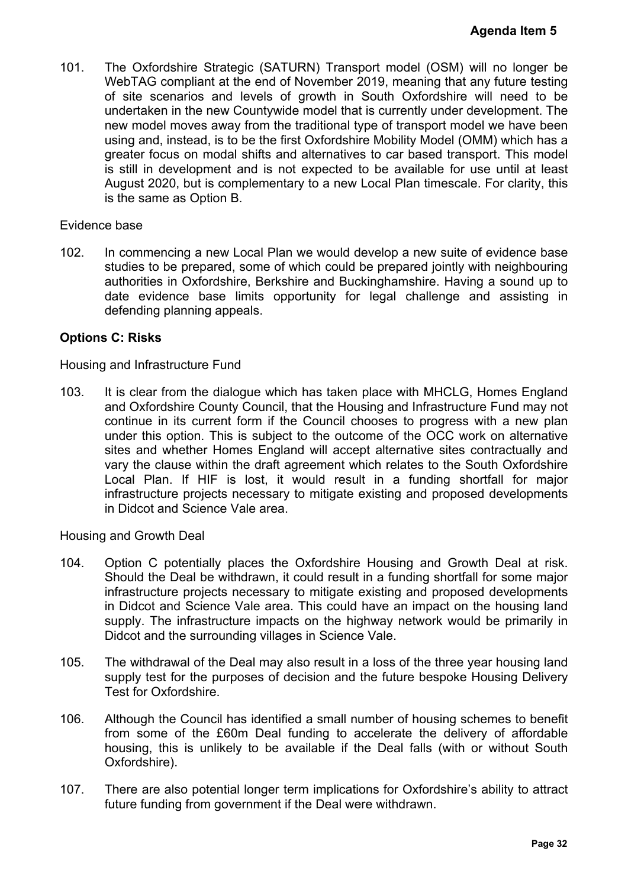101. The Oxfordshire Strategic (SATURN) Transport model (OSM) will no longer be WebTAG compliant at the end of November 2019, meaning that any future testing of site scenarios and levels of growth in South Oxfordshire will need to be undertaken in the new Countywide model that is currently under development. The new model moves away from the traditional type of transport model we have been using and, instead, is to be the first Oxfordshire Mobility Model (OMM) which has a greater focus on modal shifts and alternatives to car based transport. This model is still in development and is not expected to be available for use until at least August 2020, but is complementary to a new Local Plan timescale. For clarity, this is the same as Option B. **Agenda Item 5**<br>
will no longer be<br>
any future testing<br>
will need to be<br>
development. The<br>
del we have been<br>
MM) which has a<br>
sport. This model<br>
use until at least<br>
e. For clarity, this<br>
of evidence base<br>
with neighbouring

#### Evidence base

102. In commencing a new Local Plan we would develop a new suite of evidence base studies to be prepared, some of which could be prepared jointly with neighbouring authorities in Oxfordshire, Berkshire and Buckinghamshire. Having a sound up to date evidence base limits opportunity for legal challenge and assisting in defending planning appeals.

#### **Options C: Risks**

#### Housing and Infrastructure Fund

103. It is clear from the dialogue which has taken place with MHCLG, Homes England and Oxfordshire County Council, that the Housing and Infrastructure Fund may not continue in its current form if the Council chooses to progress with a new plan under this option. This is subject to the outcome of the OCC work on alternative sites and whether Homes England will accept alternative sites contractually and vary the clause within the draft agreement which relates to the South Oxfordshire Local Plan. If HIF is lost, it would result in a funding shortfall for major infrastructure projects necessary to mitigate existing and proposed developments in Didcot and Science Vale area.

Housing and Growth Deal

- 104. Option C potentially places the Oxfordshire Housing and Growth Deal at risk. Should the Deal be withdrawn, it could result in a funding shortfall for some major infrastructure projects necessary to mitigate existing and proposed developments in Didcot and Science Vale area. This could have an impact on the housing land supply. The infrastructure impacts on the highway network would be primarily in Didcot and the surrounding villages in Science Vale.
- 105. The withdrawal of the Deal may also result in a loss of the three year housing land supply test for the purposes of decision and the future bespoke Housing Delivery Test for Oxfordshire.
- 106. Although the Council has identified a small number of housing schemes to benefit from some of the £60m Deal funding to accelerate the delivery of affordable housing, this is unlikely to be available if the Deal falls (with or without South Oxfordshire).
- 107. There are also potential longer term implications for Oxfordshire's ability to attract future funding from government if the Deal were withdrawn.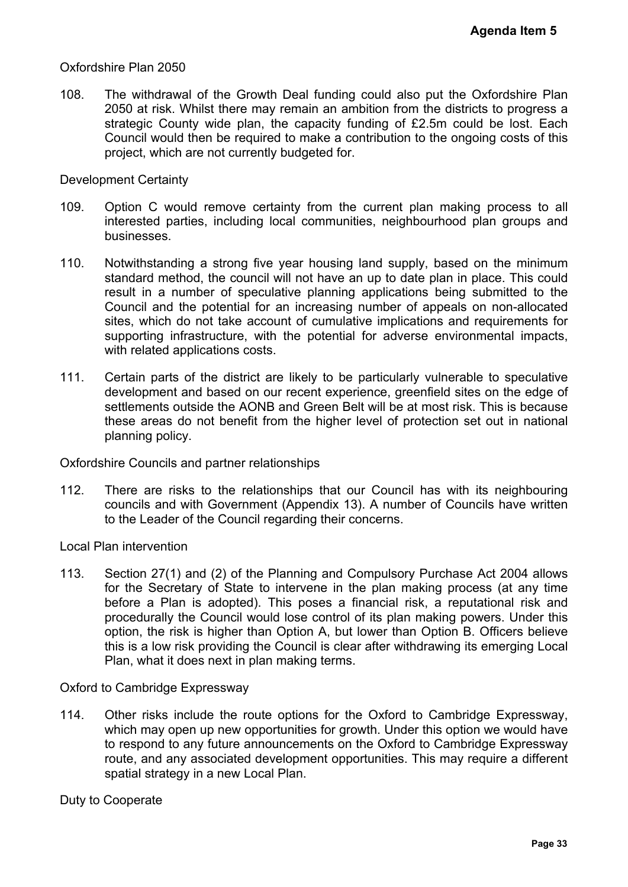#### Oxfordshire Plan 2050

108. The withdrawal of the Growth Deal funding could also put the Oxfordshire Plan 2050 at risk. Whilst there may remain an ambition from the districts to progress a strategic County wide plan, the capacity funding of £2.5m could be lost. Each Council would then be required to make a contribution to the ongoing costs of this project, which are not currently budgeted for.

#### Development Certainty

- 109. Option C would remove certainty from the current plan making process to all interested parties, including local communities, neighbourhood plan groups and businesses.
- 110. Notwithstanding a strong five year housing land supply, based on the minimum standard method, the council will not have an up to date plan in place. This could result in a number of speculative planning applications being submitted to the Council and the potential for an increasing number of appeals on non-allocated sites, which do not take account of cumulative implications and requirements for supporting infrastructure, with the potential for adverse environmental impacts, with related applications costs. Agenda Item 5<br>
Oxfordshire Plan<br>
icts to progress a<br>
uld be lost. Each<br>
poing costs of this<br>
ng process to all<br>
plan groups and<br>
on the minimum<br>
place. This could<br>
submitted to the<br>
on non-allocated<br>
requirements for<br>
nmen
- 111. Certain parts of the district are likely to be particularly vulnerable to speculative development and based on our recent experience, greenfield sites on the edge of settlements outside the AONB and Green Belt will be at most risk. This is because these areas do not benefit from the higher level of protection set out in national planning policy.

Oxfordshire Councils and partner relationships

112. There are risks to the relationships that our Council has with its neighbouring councils and with Government (Appendix 13). A number of Councils have written to the Leader of the Council regarding their concerns.

Local Plan intervention

113. Section 27(1) and (2) of the Planning and Compulsory Purchase Act 2004 allows for the Secretary of State to intervene in the plan making process (at any time before a Plan is adopted). This poses a financial risk, a reputational risk and procedurally the Council would lose control of its plan making powers. Under this option, the risk is higher than Option A, but lower than Option B. Officers believe this is a low risk providing the Council is clear after withdrawing its emerging Local Plan, what it does next in plan making terms.

Oxford to Cambridge Expressway

114. Other risks include the route options for the Oxford to Cambridge Expressway, which may open up new opportunities for growth. Under this option we would have to respond to any future announcements on the Oxford to Cambridge Expressway route, and any associated development opportunities. This may require a different spatial strategy in a new Local Plan.

Duty to Cooperate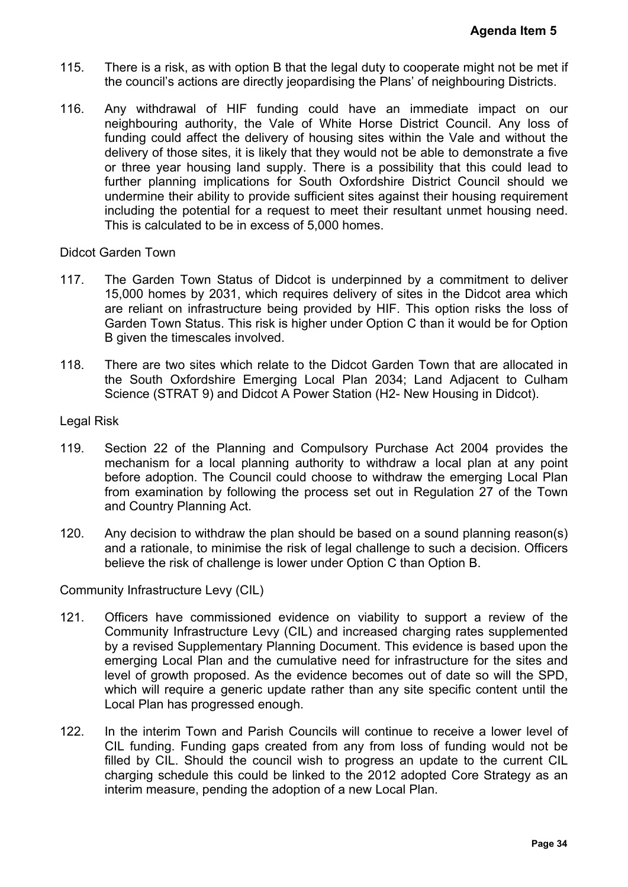- 115. There is a risk, as with option B that the legal duty to cooperate might not be met if the council's actions are directly jeopardising the Plans' of neighbouring Districts.
- 116. Any withdrawal of HIF funding could have an immediate impact on our neighbouring authority, the Vale of White Horse District Council. Any loss of funding could affect the delivery of housing sites within the Vale and without the delivery of those sites, it is likely that they would not be able to demonstrate a five or three year housing land supply. There is a possibility that this could lead to further planning implications for South Oxfordshire District Council should we undermine their ability to provide sufficient sites against their housing requirement including the potential for a request to meet their resultant unmet housing need. This is calculated to be in excess of 5,000 homes. **Agenda Item 5**<br>
night not be met if<br>
ouring Districts.<br>
impact on our<br>
ncil. Any loss of<br>
e and without the<br>
emonstrate a five<br>
his could lead to<br>
buncil should we<br>
using requirement<br>
et housing need.<br>
inftment to deliver

#### Didcot Garden Town

- 117. The Garden Town Status of Didcot is underpinned by a commitment to deliver 15,000 homes by 2031, which requires delivery of sites in the Didcot area which are reliant on infrastructure being provided by HIF. This option risks the loss of Garden Town Status. This risk is higher under Option C than it would be for Option B given the timescales involved.
- 118. There are two sites which relate to the Didcot Garden Town that are allocated in the South Oxfordshire Emerging Local Plan 2034; Land Adjacent to Culham Science (STRAT 9) and Didcot A Power Station (H2- New Housing in Didcot).

#### Legal Risk

- 119. Section 22 of the Planning and Compulsory Purchase Act 2004 provides the mechanism for a local planning authority to withdraw a local plan at any point before adoption. The Council could choose to withdraw the emerging Local Plan from examination by following the process set out in Regulation 27 of the Town and Country Planning Act.
- 120. Any decision to withdraw the plan should be based on a sound planning reason(s) and a rationale, to minimise the risk of legal challenge to such a decision. Officers believe the risk of challenge is lower under Option C than Option B.

Community Infrastructure Levy (CIL)

- 121. Officers have commissioned evidence on viability to support a review of the Community Infrastructure Levy (CIL) and increased charging rates supplemented by a revised Supplementary Planning Document. This evidence is based upon the emerging Local Plan and the cumulative need for infrastructure for the sites and level of growth proposed. As the evidence becomes out of date so will the SPD, which will require a generic update rather than any site specific content until the Local Plan has progressed enough.
- 122. In the interim Town and Parish Councils will continue to receive a lower level of CIL funding. Funding gaps created from any from loss of funding would not be filled by CIL. Should the council wish to progress an update to the current CIL charging schedule this could be linked to the 2012 adopted Core Strategy as an interim measure, pending the adoption of a new Local Plan.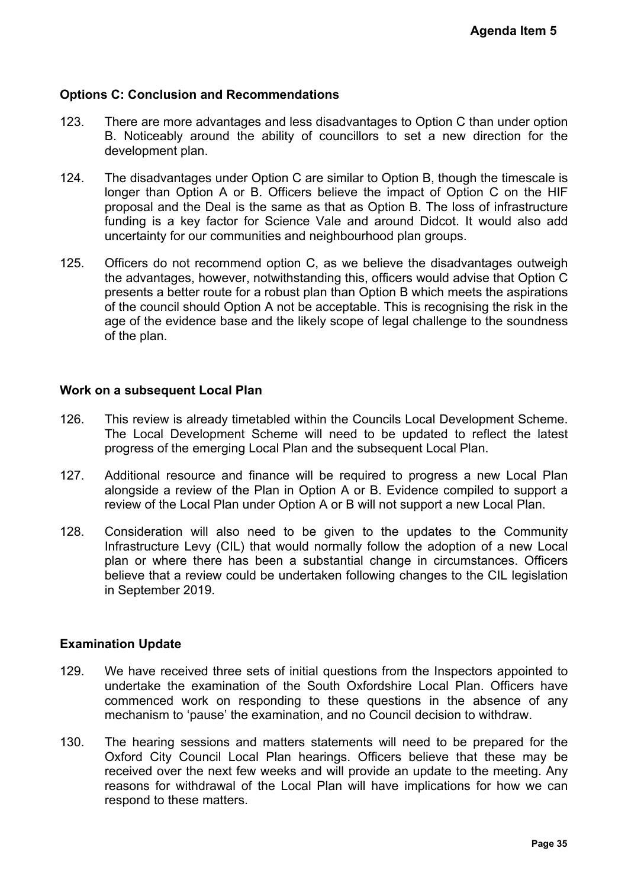### **Options C: Conclusion and Recommendations**

- 123. There are more advantages and less disadvantages to Option C than under option B. Noticeably around the ability of councillors to set a new direction for the development plan.
- 124. The disadvantages under Option C are similar to Option B, though the timescale is longer than Option A or B. Officers believe the impact of Option C on the HIF proposal and the Deal is the same as that as Option B. The loss of infrastructure funding is a key factor for Science Vale and around Didcot. It would also add uncertainty for our communities and neighbourhood plan groups.
- 125. Officers do not recommend option C, as we believe the disadvantages outweigh the advantages, however, notwithstanding this, officers would advise that Option C presents a better route for a robust plan than Option B which meets the aspirations of the council should Option A not be acceptable. This is recognising the risk in the age of the evidence base and the likely scope of legal challenge to the soundness of the plan. Agenda Item 5<br>than under option<br>direction for the<br>h the timescale is<br>on C on the HIF<br>s of infrastructure<br>t would also add<br>antages outweigh<br>is that Option C<br>ts the aspirations<br>ing the risk in the<br>to the soundness<br>reflect th

#### **Work on a subsequent Local Plan**

- 126. This review is already timetabled within the Councils Local Development Scheme. The Local Development Scheme will need to be updated to reflect the latest progress of the emerging Local Plan and the subsequent Local Plan.
- 127. Additional resource and finance will be required to progress a new Local Plan alongside a review of the Plan in Option A or B. Evidence compiled to support a review of the Local Plan under Option A or B will not support a new Local Plan.
- 128. Consideration will also need to be given to the updates to the Community Infrastructure Levy (CIL) that would normally follow the adoption of a new Local plan or where there has been a substantial change in circumstances. Officers believe that a review could be undertaken following changes to the CIL legislation in September 2019.

#### **Examination Update**

- 129. We have received three sets of initial questions from the Inspectors appointed to undertake the examination of the South Oxfordshire Local Plan. Officers have commenced work on responding to these questions in the absence of any mechanism to 'pause' the examination, and no Council decision to withdraw.
- 130. The hearing sessions and matters statements will need to be prepared for the Oxford City Council Local Plan hearings. Officers believe that these may be received over the next few weeks and will provide an update to the meeting. Any reasons for withdrawal of the Local Plan will have implications for how we can respond to these matters.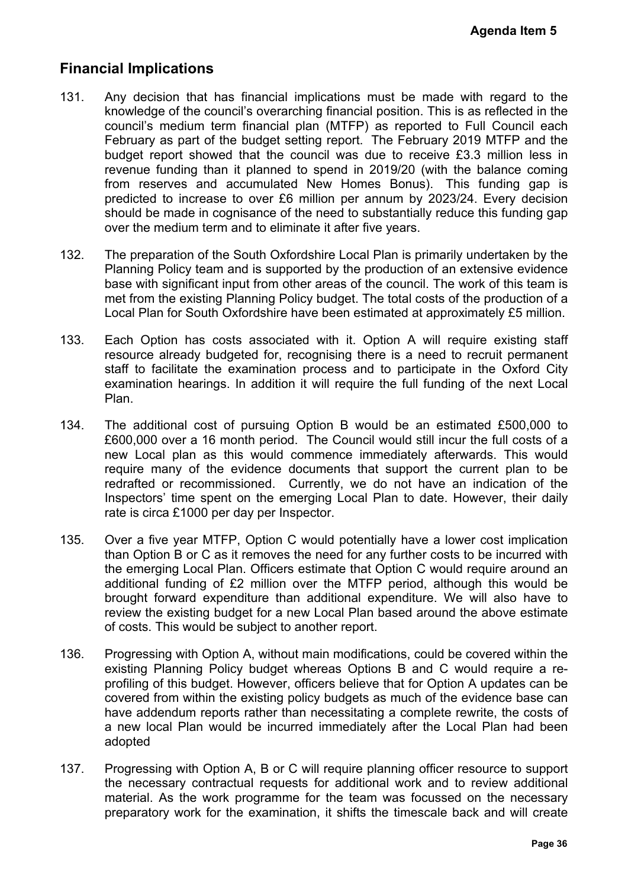# **Financial Implications**

- 131. Any decision that has financial implications must be made with regard to the knowledge of the council's overarching financial position. This is as reflected in the council's medium term financial plan (MTFP) as reported to Full Council each February as part of the budget setting report. The February 2019 MTFP and the budget report showed that the council was due to receive £3.3 million less in revenue funding than it planned to spend in 2019/20 (with the balance coming from reserves and accumulated New Homes Bonus). This funding gap is predicted to increase to over £6 million per annum by 2023/24. Every decision should be made in cognisance of the need to substantially reduce this funding gap over the medium term and to eliminate it after five years. Agenda Item 5<br>
ith regard to the<br>
sa reflected in the<br>
Full Council each<br>
19 MTFP and the<br>
9 3 million less in<br>
the 3 million less in<br>
4. Every decision<br>
± this funding gap<br>
#4. Every decision<br>
= this funding gap<br>
undertak
- 132. The preparation of the South Oxfordshire Local Plan is primarily undertaken by the Planning Policy team and is supported by the production of an extensive evidence base with significant input from other areas of the council. The work of this team is met from the existing Planning Policy budget. The total costs of the production of a Local Plan for South Oxfordshire have been estimated at approximately £5 million.
- 133. Each Option has costs associated with it. Option A will require existing staff resource already budgeted for, recognising there is a need to recruit permanent staff to facilitate the examination process and to participate in the Oxford City examination hearings. In addition it will require the full funding of the next Local Plan.
- 134. The additional cost of pursuing Option B would be an estimated £500,000 to £600,000 over a 16 month period. The Council would still incur the full costs of a new Local plan as this would commence immediately afterwards. This would require many of the evidence documents that support the current plan to be redrafted or recommissioned. Currently, we do not have an indication of the Inspectors' time spent on the emerging Local Plan to date. However, their daily rate is circa £1000 per day per Inspector.
- 135. Over a five year MTFP, Option C would potentially have a lower cost implication than Option B or C as it removes the need for any further costs to be incurred with the emerging Local Plan. Officers estimate that Option C would require around an additional funding of £2 million over the MTFP period, although this would be brought forward expenditure than additional expenditure. We will also have to review the existing budget for a new Local Plan based around the above estimate of costs. This would be subject to another report.
- 136. Progressing with Option A, without main modifications, could be covered within the existing Planning Policy budget whereas Options B and C would require a reprofiling of this budget. However, officers believe that for Option A updates can be covered from within the existing policy budgets as much of the evidence base can have addendum reports rather than necessitating a complete rewrite, the costs of a new local Plan would be incurred immediately after the Local Plan had been adopted
- 137. Progressing with Option A, B or C will require planning officer resource to support the necessary contractual requests for additional work and to review additional material. As the work programme for the team was focussed on the necessary preparatory work for the examination, it shifts the timescale back and will create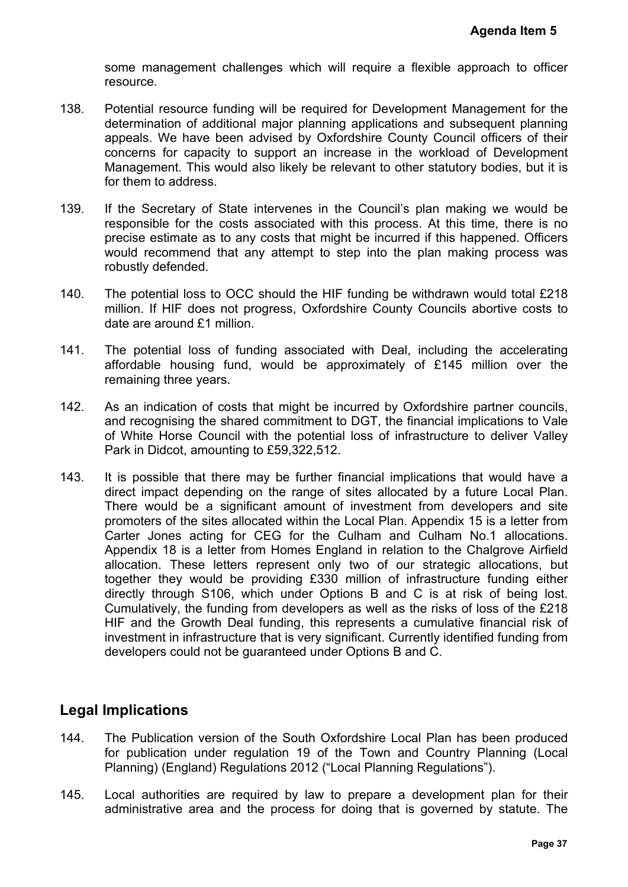some management challenges which will require a flexible approach to officer resource.

- 138. Potential resource funding will be required for Development Management for the determination of additional major planning applications and subsequent planning appeals. We have been advised by Oxfordshire County Council officers of their concerns for capacity to support an increase in the workload of Development Management. This would also likely be relevant to other statutory bodies, but it is for them to address.
- 139. If the Secretary of State intervenes in the Council's plan making we would be responsible for the costs associated with this process. At this time, there is no precise estimate as to any costs that might be incurred if this happened. Officers would recommend that any attempt to step into the plan making process was robustly defended.
- 140. The potential loss to OCC should the HIF funding be withdrawn would total £218 million. If HIF does not progress, Oxfordshire County Councils abortive costs to date are around £1 million.
- 141. The potential loss of funding associated with Deal, including the accelerating affordable housing fund, would be approximately of £145 million over the remaining three years.
- 142. As an indication of costs that might be incurred by Oxfordshire partner councils, and recognising the shared commitment to DGT, the financial implications to Vale of White Horse Council with the potential loss of infrastructure to deliver Valley Park in Didcot, amounting to £59,322,512.
- 143. It is possible that there may be further financial implications that would have a direct impact depending on the range of sites allocated by a future Local Plan. There would be a significant amount of investment from developers and site promoters of the sites allocated within the Local Plan. Appendix 15 is a letter from Carter Jones acting for CEG for the Culham and Culham No.1 allocations. Appendix 18 is a letter from Homes England in relation to the Chalgrove Airfield allocation. These letters represent only two of our strategic allocations, but together they would be providing £330 million of infrastructure funding either directly through S106, which under Options B and C is at risk of being lost. Cumulatively, the funding from developers as well as the risks of loss of the £218 HIF and the Growth Deal funding, this represents a cumulative financial risk of investment in infrastructure that is very significant. Currently identified funding from developers could not be guaranteed under Options B and C. Agenda Item 5<br>proach to officer<br>angement for the<br>sequent planning<br>il officers of their<br>of Development<br>y bodies, but it is<br>ing we would be<br>time, there is no<br>appened. Officers<br>ing process was<br>would total £218<br>abortive costs

# **Legal Implications**

- 144. The Publication version of the South Oxfordshire Local Plan has been produced for publication under regulation 19 of the Town and Country Planning (Local Planning) (England) Regulations 2012 ("Local Planning Regulations").
- 145. Local authorities are required by law to prepare a development plan for their administrative area and the process for doing that is governed by statute. The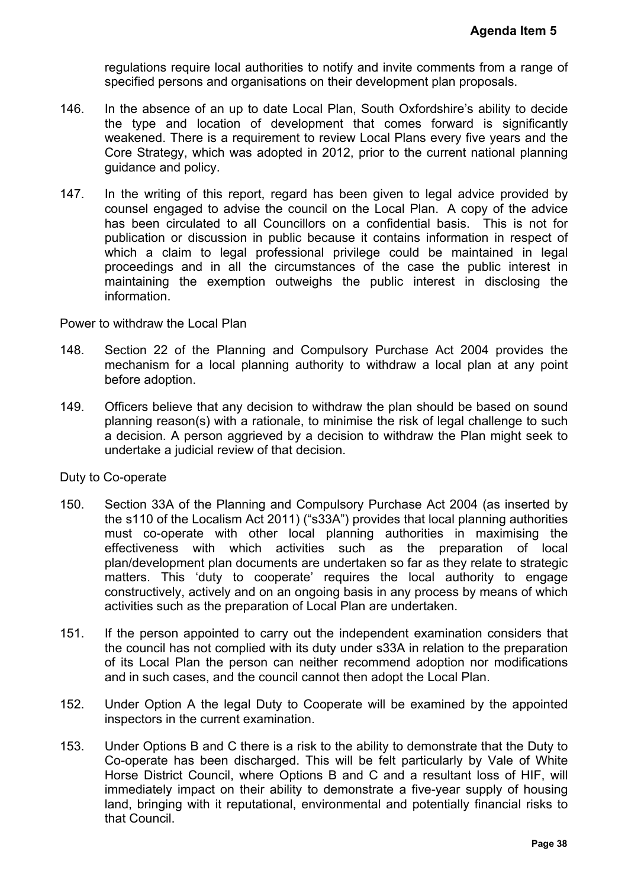regulations require local authorities to notify and invite comments from a range of specified persons and organisations on their development plan proposals.

- 146. In the absence of an up to date Local Plan, South Oxfordshire's ability to decide the type and location of development that comes forward is significantly weakened. There is a requirement to review Local Plans every five years and the Core Strategy, which was adopted in 2012, prior to the current national planning guidance and policy.
- 147. In the writing of this report, regard has been given to legal advice provided by counsel engaged to advise the council on the Local Plan. A copy of the advice has been circulated to all Councillors on a confidential basis. This is not for publication or discussion in public because it contains information in respect of which a claim to legal professional privilege could be maintained in legal proceedings and in all the circumstances of the case the public interest in maintaining the exemption outweighs the public interest in disclosing the information.

Power to withdraw the Local Plan

- 148. Section 22 of the Planning and Compulsory Purchase Act 2004 provides the mechanism for a local planning authority to withdraw a local plan at any point before adoption.
- 149. Officers believe that any decision to withdraw the plan should be based on sound planning reason(s) with a rationale, to minimise the risk of legal challenge to such a decision. A person aggrieved by a decision to withdraw the Plan might seek to undertake a judicial review of that decision.

Duty to Co-operate

- 150. Section 33A of the Planning and Compulsory Purchase Act 2004 (as inserted by the s110 of the Localism Act 2011) ("s33A") provides that local planning authorities must co-operate with other local planning authorities in maximising the effectiveness with which activities such as the preparation of local plan/development plan documents are undertaken so far as they relate to strategic matters. This 'duty to cooperate' requires the local authority to engage constructively, actively and on an ongoing basis in any process by means of which activities such as the preparation of Local Plan are undertaken. **Agenda Item 5**<br>
s from a range of<br>
oposals.<br>
a ability to decide<br>
d is significantly<br>
ive years and the<br>
national planning<br>
livice provided by<br>
ppy of the advice<br>
This is not for<br>
this is not for<br>
this is not for<br>
this is
- 151. If the person appointed to carry out the independent examination considers that the council has not complied with its duty under s33A in relation to the preparation of its Local Plan the person can neither recommend adoption nor modifications and in such cases, and the council cannot then adopt the Local Plan.
- 152. Under Option A the legal Duty to Cooperate will be examined by the appointed inspectors in the current examination.
- 153. Under Options B and C there is a risk to the ability to demonstrate that the Duty to Co-operate has been discharged. This will be felt particularly by Vale of White Horse District Council, where Options B and C and a resultant loss of HIF, will immediately impact on their ability to demonstrate a five-year supply of housing land, bringing with it reputational, environmental and potentially financial risks to that Council.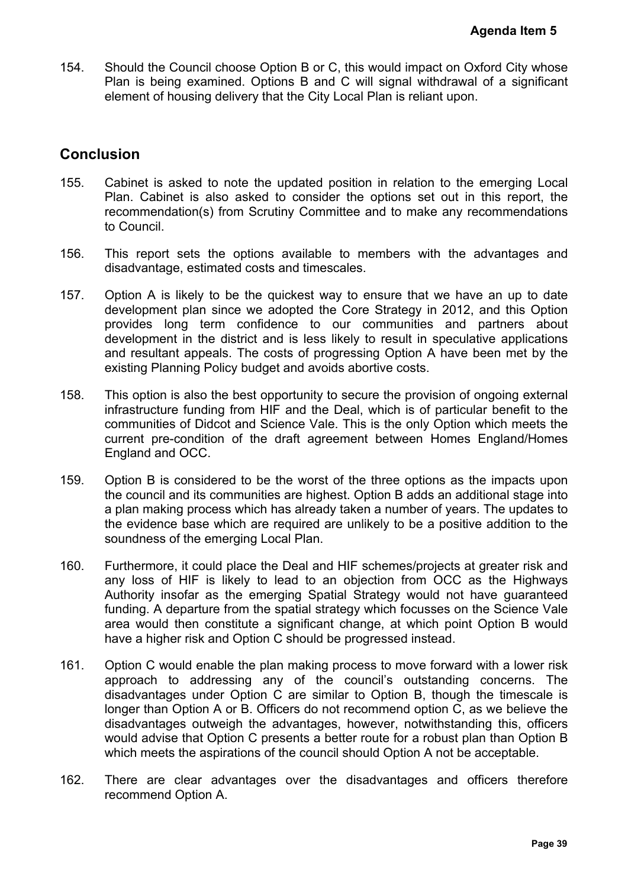154. Should the Council choose Option B or C, this would impact on Oxford City whose Plan is being examined. Options B and C will signal withdrawal of a significant element of housing delivery that the City Local Plan is reliant upon.

# **Conclusion**

- 155. Cabinet is asked to note the updated position in relation to the emerging Local Plan. Cabinet is also asked to consider the options set out in this report, the recommendation(s) from Scrutiny Committee and to make any recommendations to Council.
- 156. This report sets the options available to members with the advantages and disadvantage, estimated costs and timescales.
- 157. Option A is likely to be the quickest way to ensure that we have an up to date development plan since we adopted the Core Strategy in 2012, and this Option provides long term confidence to our communities and partners about development in the district and is less likely to result in speculative applications and resultant appeals. The costs of progressing Option A have been met by the existing Planning Policy budget and avoids abortive costs.
- 158. This option is also the best opportunity to secure the provision of ongoing external infrastructure funding from HIF and the Deal, which is of particular benefit to the communities of Didcot and Science Vale. This is the only Option which meets the current pre-condition of the draft agreement between Homes England/Homes England and OCC.
- 159. Option B is considered to be the worst of the three options as the impacts upon the council and its communities are highest. Option B adds an additional stage into a plan making process which has already taken a number of years. The updates to the evidence base which are required are unlikely to be a positive addition to the soundness of the emerging Local Plan.
- 160. Furthermore, it could place the Deal and HIF schemes/projects at greater risk and any loss of HIF is likely to lead to an objection from OCC as the Highways Authority insofar as the emerging Spatial Strategy would not have guaranteed funding. A departure from the spatial strategy which focusses on the Science Vale area would then constitute a significant change, at which point Option B would have a higher risk and Option C should be progressed instead.
- 161. Option C would enable the plan making process to move forward with a lower risk approach to addressing any of the council's outstanding concerns. The disadvantages under Option C are similar to Option B, though the timescale is longer than Option A or B. Officers do not recommend option C, as we believe the disadvantages outweigh the advantages, however, notwithstanding this, officers would advise that Option C presents a better route for a robust plan than Option B which meets the aspirations of the council should Option A not be acceptable. **Agenda Item 5**<br>
Dxford City whose<br>
al of a significant<br>
n.<br>
Pe emerging Local<br>
n this report, the<br>
recommendations<br>
advantages and<br>
ve an up to date<br>
advantages and<br>
ve an up to date<br>
individual and this Option<br>
partners
- 162. There are clear advantages over the disadvantages and officers therefore recommend Option A.